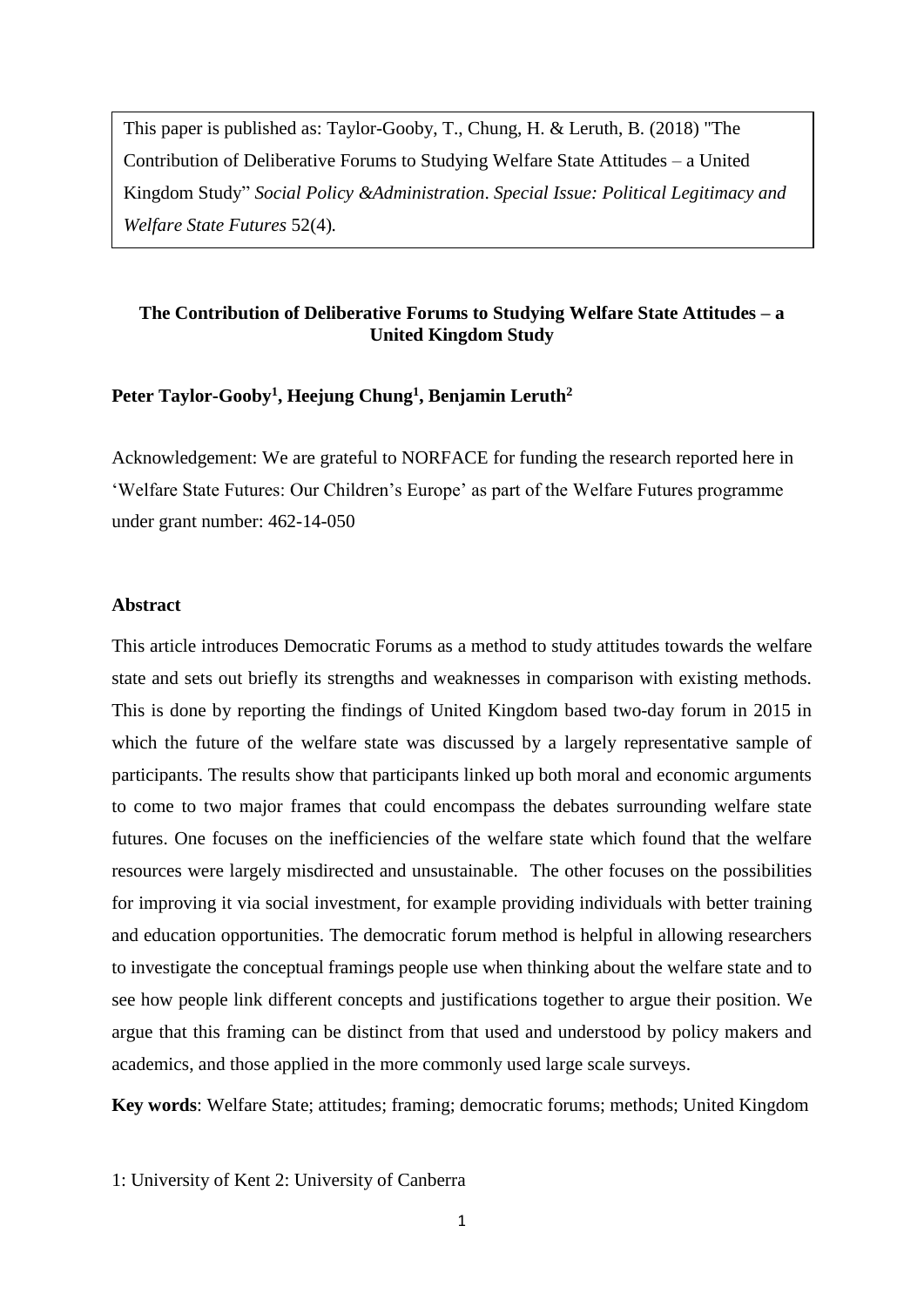This paper is published as: Taylor-Gooby, T., Chung, H. & Leruth, B. (2018) "The Contribution of Deliberative Forums to Studying Welfare State Attitudes – a United Kingdom Study" *Social Policy &Administration*. *Special Issue: Political Legitimacy and Welfare State Futures* 52(4)*.*

# **The Contribution of Deliberative Forums to Studying Welfare State Attitudes – a United Kingdom Study**

# **Peter Taylor-Gooby<sup>1</sup> , Heejung Chung<sup>1</sup> , Benjamin Leruth<sup>2</sup>**

Acknowledgement: We are grateful to NORFACE for funding the research reported here in 'Welfare State Futures: Our Children's Europe' as part of the Welfare Futures programme under grant number: 462-14-050

#### **Abstract**

This article introduces Democratic Forums as a method to study attitudes towards the welfare state and sets out briefly its strengths and weaknesses in comparison with existing methods. This is done by reporting the findings of United Kingdom based two-day forum in 2015 in which the future of the welfare state was discussed by a largely representative sample of participants. The results show that participants linked up both moral and economic arguments to come to two major frames that could encompass the debates surrounding welfare state futures. One focuses on the inefficiencies of the welfare state which found that the welfare resources were largely misdirected and unsustainable. The other focuses on the possibilities for improving it via social investment, for example providing individuals with better training and education opportunities. The democratic forum method is helpful in allowing researchers to investigate the conceptual framings people use when thinking about the welfare state and to see how people link different concepts and justifications together to argue their position. We argue that this framing can be distinct from that used and understood by policy makers and academics, and those applied in the more commonly used large scale surveys.

**Key words**: Welfare State; attitudes; framing; democratic forums; methods; United Kingdom

1: University of Kent 2: University of Canberra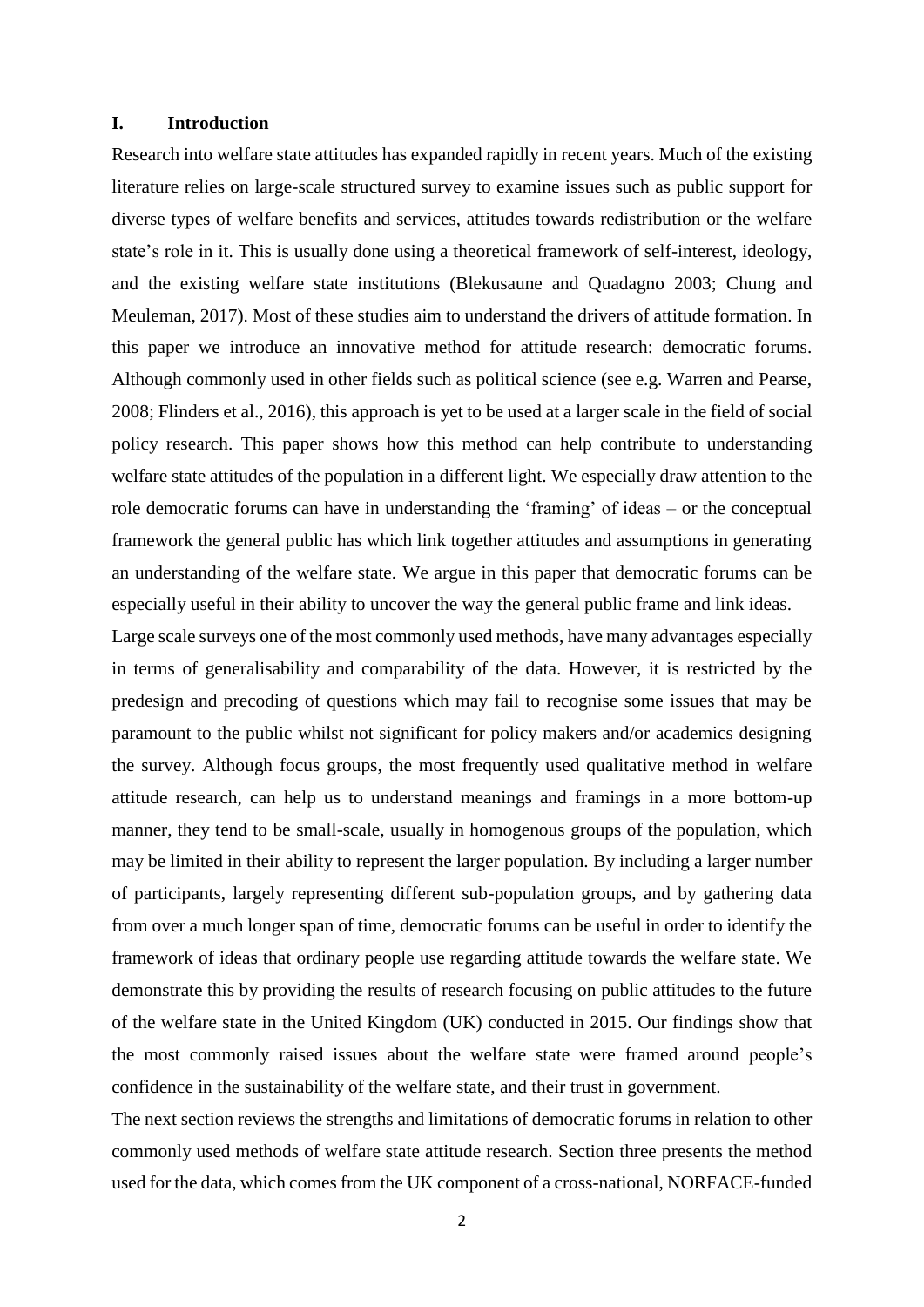# **I. Introduction**

Research into welfare state attitudes has expanded rapidly in recent years. Much of the existing literature relies on large-scale structured survey to examine issues such as public support for diverse types of welfare benefits and services, attitudes towards redistribution or the welfare state's role in it. This is usually done using a theoretical framework of self-interest, ideology, and the existing welfare state institutions (Blekusaune and Quadagno 2003; Chung and Meuleman, 2017). Most of these studies aim to understand the drivers of attitude formation. In this paper we introduce an innovative method for attitude research: democratic forums. Although commonly used in other fields such as political science (see e.g. Warren and Pearse, 2008; Flinders et al., 2016), this approach is yet to be used at a larger scale in the field of social policy research. This paper shows how this method can help contribute to understanding welfare state attitudes of the population in a different light. We especially draw attention to the role democratic forums can have in understanding the 'framing' of ideas – or the conceptual framework the general public has which link together attitudes and assumptions in generating an understanding of the welfare state. We argue in this paper that democratic forums can be especially useful in their ability to uncover the way the general public frame and link ideas.

Large scale surveys one of the most commonly used methods, have many advantages especially in terms of generalisability and comparability of the data. However, it is restricted by the predesign and precoding of questions which may fail to recognise some issues that may be paramount to the public whilst not significant for policy makers and/or academics designing the survey. Although focus groups, the most frequently used qualitative method in welfare attitude research, can help us to understand meanings and framings in a more bottom-up manner, they tend to be small-scale, usually in homogenous groups of the population, which may be limited in their ability to represent the larger population. By including a larger number of participants, largely representing different sub-population groups, and by gathering data from over a much longer span of time, democratic forums can be useful in order to identify the framework of ideas that ordinary people use regarding attitude towards the welfare state. We demonstrate this by providing the results of research focusing on public attitudes to the future of the welfare state in the United Kingdom (UK) conducted in 2015. Our findings show that the most commonly raised issues about the welfare state were framed around people's confidence in the sustainability of the welfare state, and their trust in government.

The next section reviews the strengths and limitations of democratic forums in relation to other commonly used methods of welfare state attitude research. Section three presents the method used for the data, which comes from the UK component of a cross-national, NORFACE-funded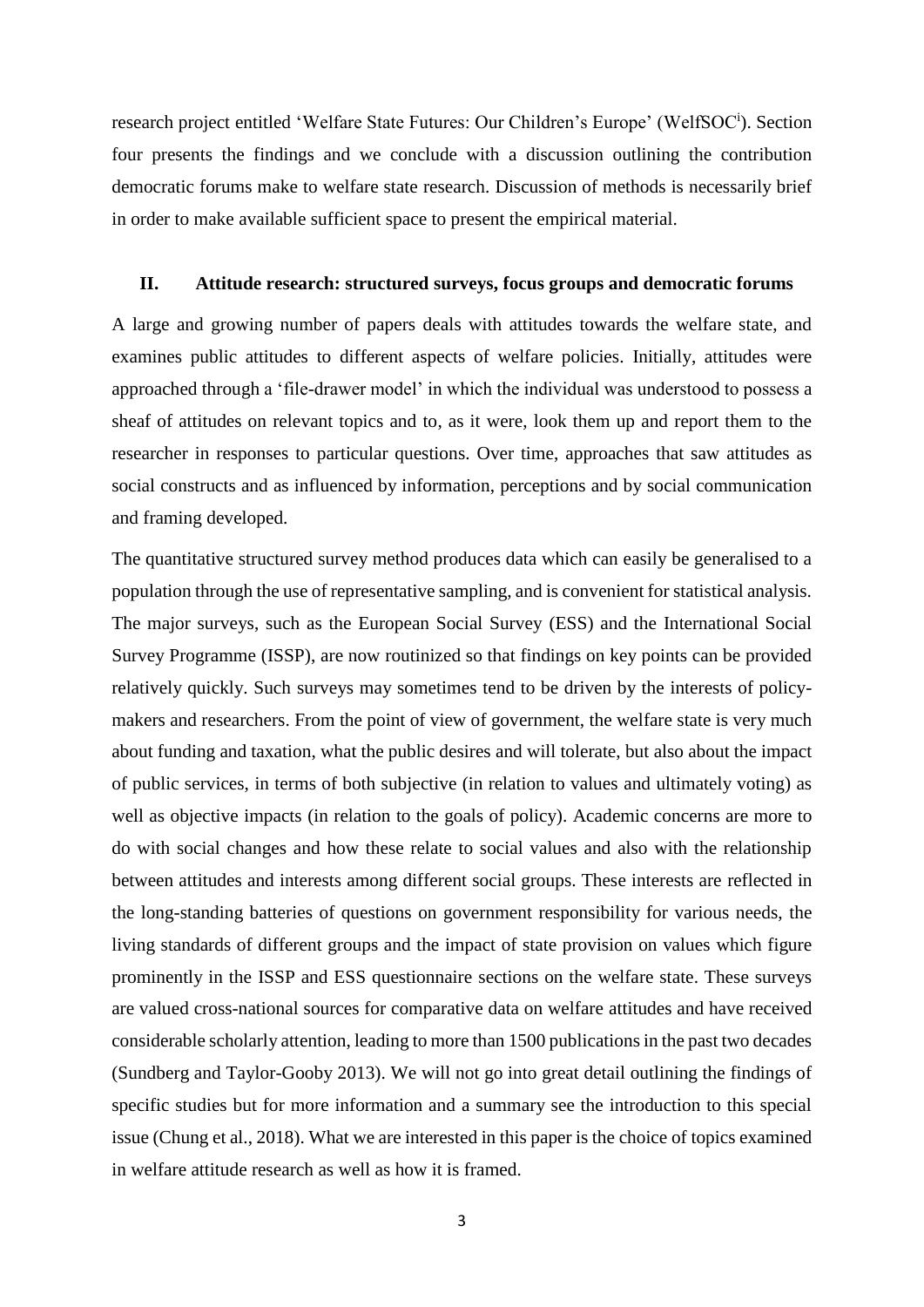research project entitled 'Welfare State Futures: Our Children's Europe' (WelfSOC<sup>i</sup>). Section four presents the findings and we conclude with a discussion outlining the contribution democratic forums make to welfare state research. Discussion of methods is necessarily brief in order to make available sufficient space to present the empirical material.

#### **II. Attitude research: structured surveys, focus groups and democratic forums**

A large and growing number of papers deals with attitudes towards the welfare state, and examines public attitudes to different aspects of welfare policies. Initially, attitudes were approached through a 'file-drawer model' in which the individual was understood to possess a sheaf of attitudes on relevant topics and to, as it were, look them up and report them to the researcher in responses to particular questions. Over time, approaches that saw attitudes as social constructs and as influenced by information, perceptions and by social communication and framing developed.

The quantitative structured survey method produces data which can easily be generalised to a population through the use of representative sampling, and is convenient for statistical analysis. The major surveys, such as the European Social Survey (ESS) and the International Social Survey Programme (ISSP), are now routinized so that findings on key points can be provided relatively quickly. Such surveys may sometimes tend to be driven by the interests of policymakers and researchers. From the point of view of government, the welfare state is very much about funding and taxation, what the public desires and will tolerate, but also about the impact of public services, in terms of both subjective (in relation to values and ultimately voting) as well as objective impacts (in relation to the goals of policy). Academic concerns are more to do with social changes and how these relate to social values and also with the relationship between attitudes and interests among different social groups. These interests are reflected in the long-standing batteries of questions on government responsibility for various needs, the living standards of different groups and the impact of state provision on values which figure prominently in the ISSP and ESS questionnaire sections on the welfare state. These surveys are valued cross-national sources for comparative data on welfare attitudes and have received considerable scholarly attention, leading to more than 1500 publicationsin the past two decades (Sundberg and Taylor-Gooby 2013). We will not go into great detail outlining the findings of specific studies but for more information and a summary see the introduction to this special issue (Chung et al., 2018). What we are interested in this paper is the choice of topics examined in welfare attitude research as well as how it is framed.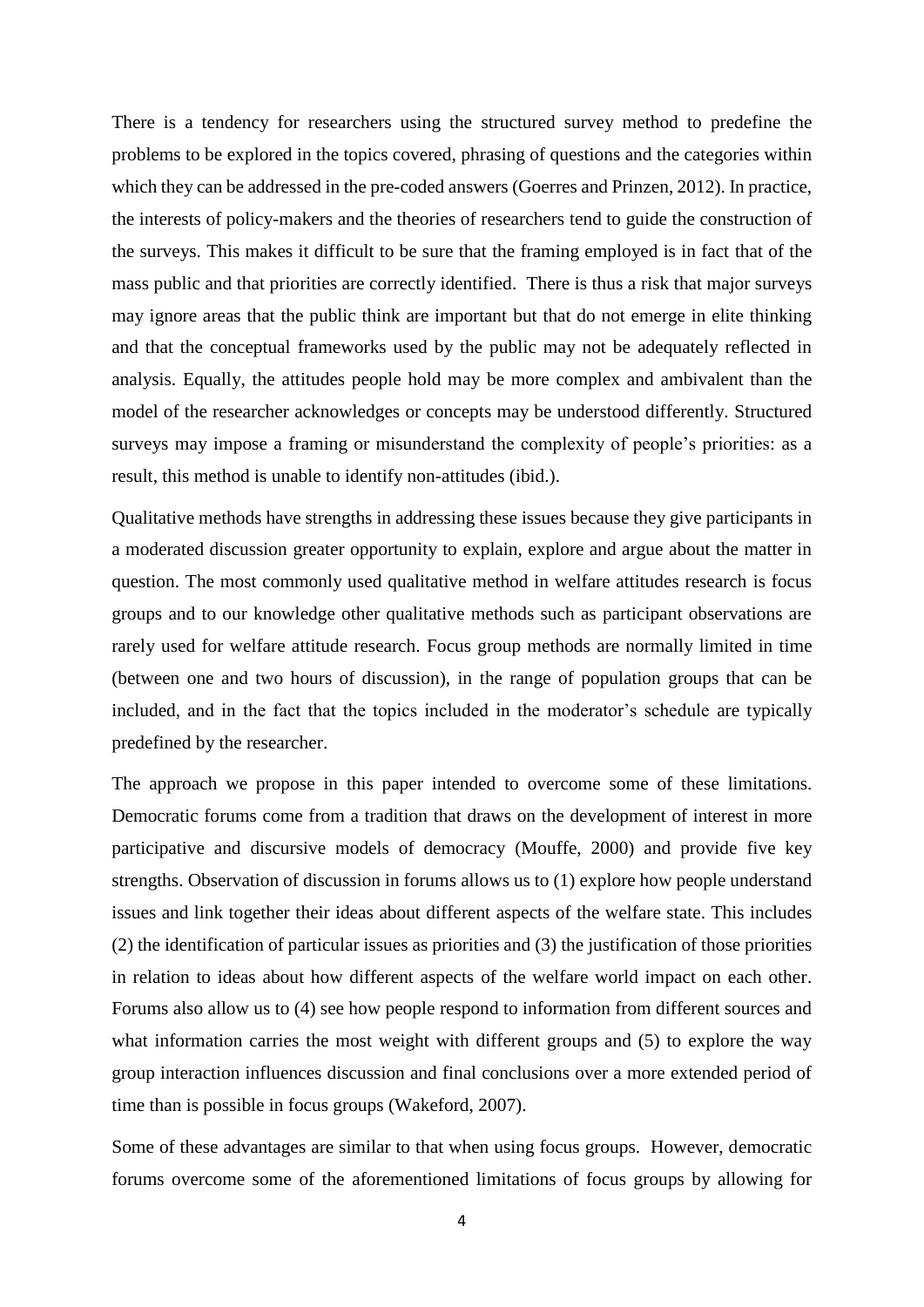There is a tendency for researchers using the structured survey method to predefine the problems to be explored in the topics covered, phrasing of questions and the categories within which they can be addressed in the pre-coded answers (Goerres and Prinzen, 2012). In practice, the interests of policy-makers and the theories of researchers tend to guide the construction of the surveys. This makes it difficult to be sure that the framing employed is in fact that of the mass public and that priorities are correctly identified. There is thus a risk that major surveys may ignore areas that the public think are important but that do not emerge in elite thinking and that the conceptual frameworks used by the public may not be adequately reflected in analysis. Equally, the attitudes people hold may be more complex and ambivalent than the model of the researcher acknowledges or concepts may be understood differently. Structured surveys may impose a framing or misunderstand the complexity of people's priorities: as a result, this method is unable to identify non-attitudes (ibid.).

Qualitative methods have strengths in addressing these issues because they give participants in a moderated discussion greater opportunity to explain, explore and argue about the matter in question. The most commonly used qualitative method in welfare attitudes research is focus groups and to our knowledge other qualitative methods such as participant observations are rarely used for welfare attitude research. Focus group methods are normally limited in time (between one and two hours of discussion), in the range of population groups that can be included, and in the fact that the topics included in the moderator's schedule are typically predefined by the researcher.

The approach we propose in this paper intended to overcome some of these limitations. Democratic forums come from a tradition that draws on the development of interest in more participative and discursive models of democracy (Mouffe, 2000) and provide five key strengths. Observation of discussion in forums allows us to (1) explore how people understand issues and link together their ideas about different aspects of the welfare state. This includes (2) the identification of particular issues as priorities and (3) the justification of those priorities in relation to ideas about how different aspects of the welfare world impact on each other. Forums also allow us to (4) see how people respond to information from different sources and what information carries the most weight with different groups and (5) to explore the way group interaction influences discussion and final conclusions over a more extended period of time than is possible in focus groups (Wakeford, 2007).

Some of these advantages are similar to that when using focus groups. However, democratic forums overcome some of the aforementioned limitations of focus groups by allowing for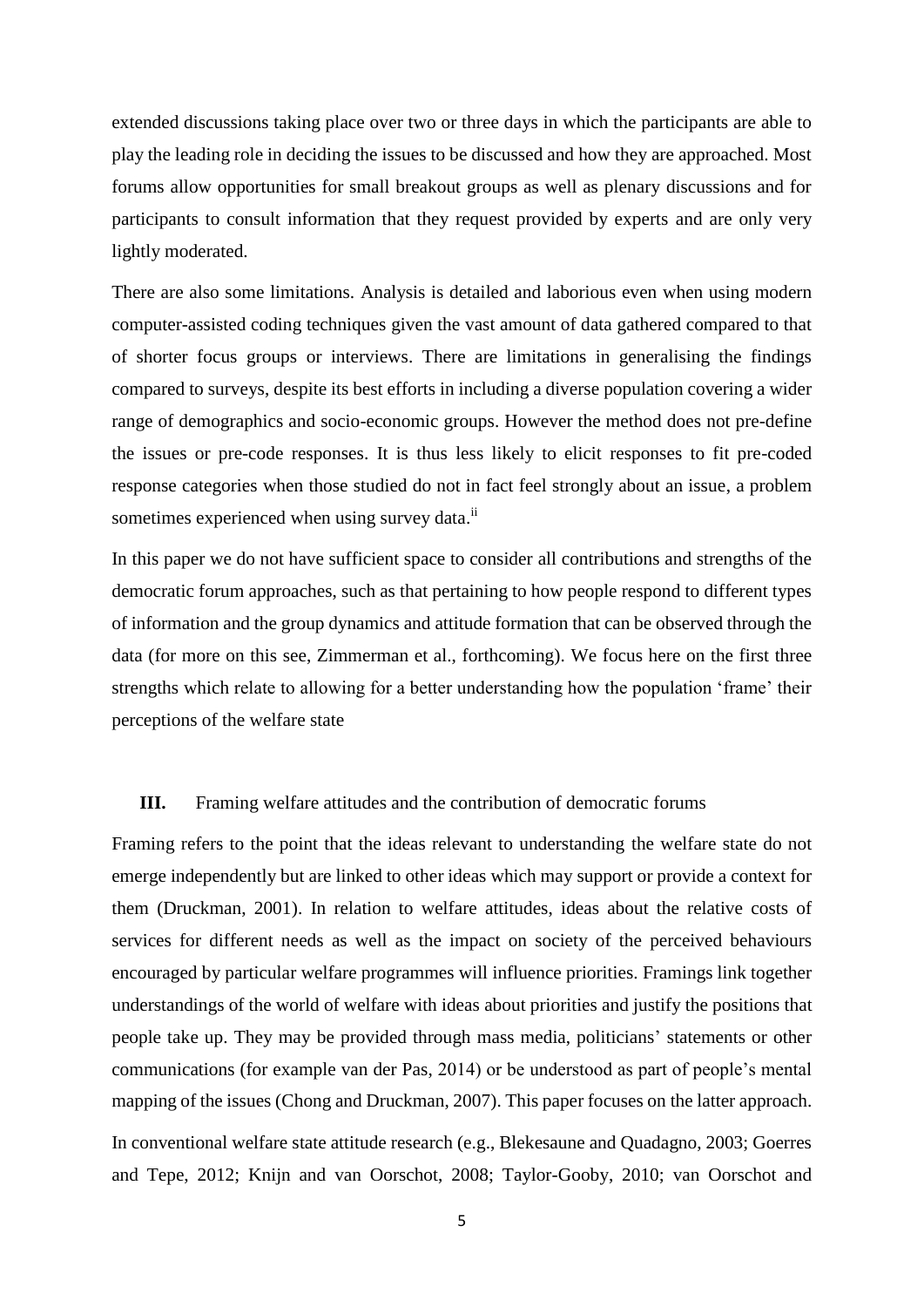extended discussions taking place over two or three days in which the participants are able to play the leading role in deciding the issues to be discussed and how they are approached. Most forums allow opportunities for small breakout groups as well as plenary discussions and for participants to consult information that they request provided by experts and are only very lightly moderated.

There are also some limitations. Analysis is detailed and laborious even when using modern computer-assisted coding techniques given the vast amount of data gathered compared to that of shorter focus groups or interviews. There are limitations in generalising the findings compared to surveys, despite its best efforts in including a diverse population covering a wider range of demographics and socio-economic groups. However the method does not pre-define the issues or pre-code responses. It is thus less likely to elicit responses to fit pre-coded response categories when those studied do not in fact feel strongly about an issue, a problem sometimes experienced when using survey data.<sup>ii</sup>

In this paper we do not have sufficient space to consider all contributions and strengths of the democratic forum approaches, such as that pertaining to how people respond to different types of information and the group dynamics and attitude formation that can be observed through the data (for more on this see, Zimmerman et al., forthcoming). We focus here on the first three strengths which relate to allowing for a better understanding how the population 'frame' their perceptions of the welfare state

## **III.** Framing welfare attitudes and the contribution of democratic forums

Framing refers to the point that the ideas relevant to understanding the welfare state do not emerge independently but are linked to other ideas which may support or provide a context for them (Druckman, 2001). In relation to welfare attitudes, ideas about the relative costs of services for different needs as well as the impact on society of the perceived behaviours encouraged by particular welfare programmes will influence priorities. Framings link together understandings of the world of welfare with ideas about priorities and justify the positions that people take up. They may be provided through mass media, politicians' statements or other communications (for example van der Pas, 2014) or be understood as part of people's mental mapping of the issues (Chong and Druckman, 2007). This paper focuses on the latter approach. In conventional welfare state attitude research (e.g., Blekesaune and Quadagno, 2003; Goerres and Tepe, 2012; Knijn and van Oorschot, 2008; Taylor-Gooby, 2010; van Oorschot and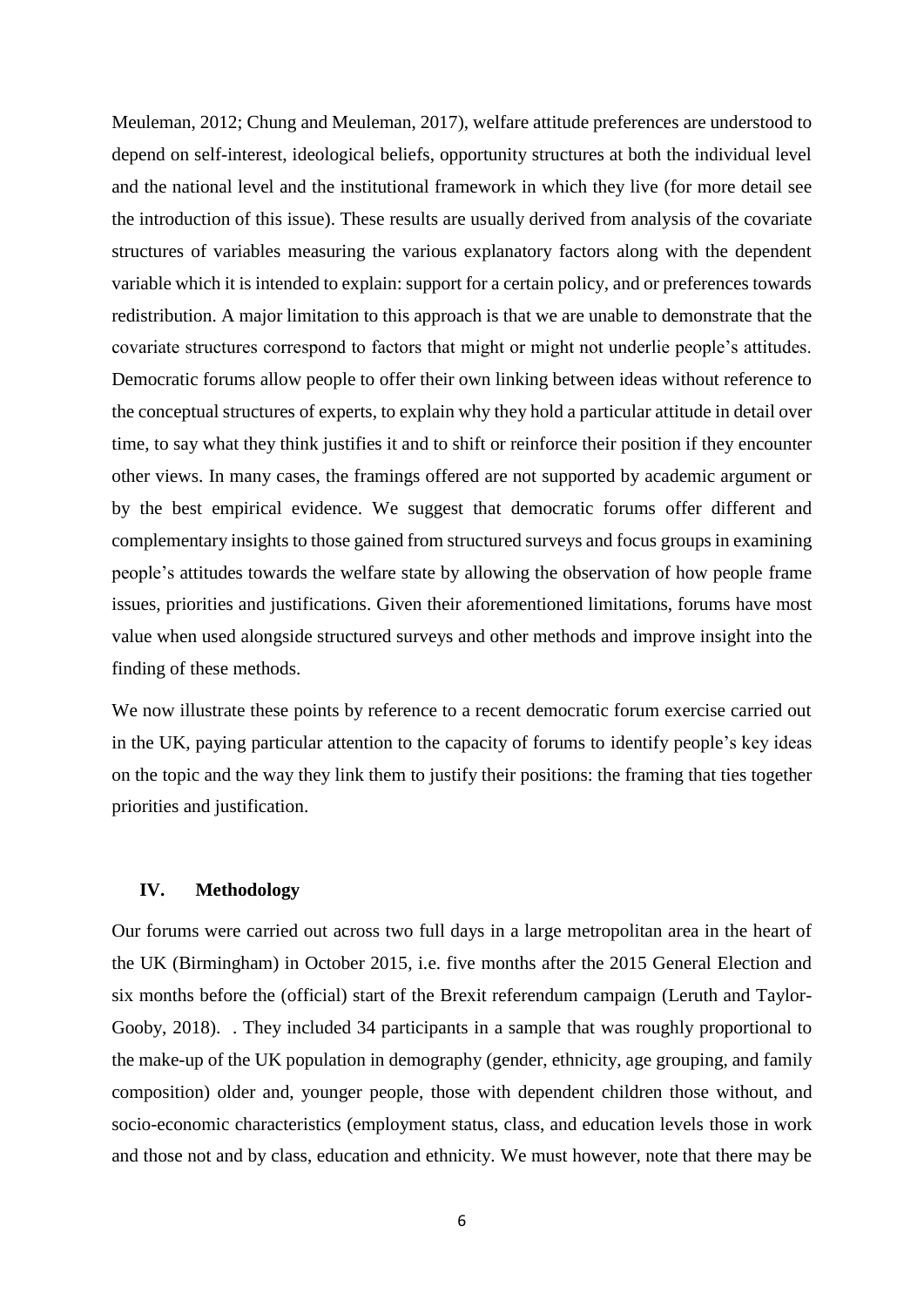Meuleman, 2012; Chung and Meuleman, 2017), welfare attitude preferences are understood to depend on self-interest, ideological beliefs, opportunity structures at both the individual level and the national level and the institutional framework in which they live (for more detail see the introduction of this issue). These results are usually derived from analysis of the covariate structures of variables measuring the various explanatory factors along with the dependent variable which it is intended to explain: support for a certain policy, and or preferences towards redistribution. A major limitation to this approach is that we are unable to demonstrate that the covariate structures correspond to factors that might or might not underlie people's attitudes. Democratic forums allow people to offer their own linking between ideas without reference to the conceptual structures of experts, to explain why they hold a particular attitude in detail over time, to say what they think justifies it and to shift or reinforce their position if they encounter other views. In many cases, the framings offered are not supported by academic argument or by the best empirical evidence. We suggest that democratic forums offer different and complementary insights to those gained from structured surveys and focus groups in examining people's attitudes towards the welfare state by allowing the observation of how people frame issues, priorities and justifications. Given their aforementioned limitations, forums have most value when used alongside structured surveys and other methods and improve insight into the finding of these methods.

We now illustrate these points by reference to a recent democratic forum exercise carried out in the UK, paying particular attention to the capacity of forums to identify people's key ideas on the topic and the way they link them to justify their positions: the framing that ties together priorities and justification.

# **IV. Methodology**

Our forums were carried out across two full days in a large metropolitan area in the heart of the UK (Birmingham) in October 2015, i.e. five months after the 2015 General Election and six months before the (official) start of the Brexit referendum campaign (Leruth and Taylor-Gooby, 2018). . They included 34 participants in a sample that was roughly proportional to the make-up of the UK population in demography (gender, ethnicity, age grouping, and family composition) older and, younger people, those with dependent children those without, and socio-economic characteristics (employment status, class, and education levels those in work and those not and by class, education and ethnicity. We must however, note that there may be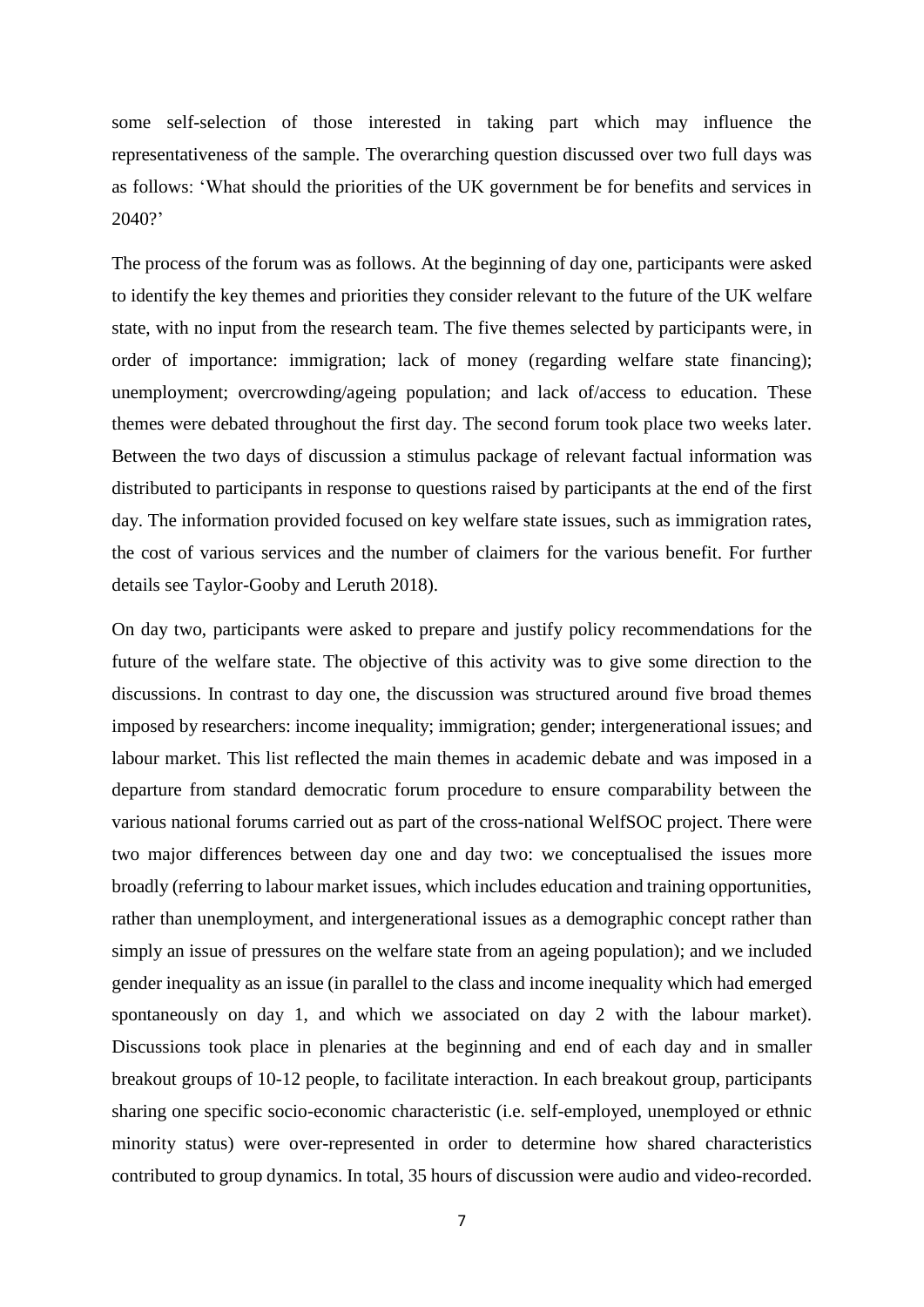some self-selection of those interested in taking part which may influence the representativeness of the sample. The overarching question discussed over two full days was as follows: 'What should the priorities of the UK government be for benefits and services in 2040?'

The process of the forum was as follows. At the beginning of day one, participants were asked to identify the key themes and priorities they consider relevant to the future of the UK welfare state, with no input from the research team. The five themes selected by participants were, in order of importance: immigration; lack of money (regarding welfare state financing); unemployment; overcrowding/ageing population; and lack of/access to education. These themes were debated throughout the first day. The second forum took place two weeks later. Between the two days of discussion a stimulus package of relevant factual information was distributed to participants in response to questions raised by participants at the end of the first day. The information provided focused on key welfare state issues, such as immigration rates, the cost of various services and the number of claimers for the various benefit. For further details see Taylor-Gooby and Leruth 2018).

On day two, participants were asked to prepare and justify policy recommendations for the future of the welfare state. The objective of this activity was to give some direction to the discussions. In contrast to day one, the discussion was structured around five broad themes imposed by researchers: income inequality; immigration; gender; intergenerational issues; and labour market. This list reflected the main themes in academic debate and was imposed in a departure from standard democratic forum procedure to ensure comparability between the various national forums carried out as part of the cross-national WelfSOC project. There were two major differences between day one and day two: we conceptualised the issues more broadly (referring to labour market issues, which includes education and training opportunities, rather than unemployment, and intergenerational issues as a demographic concept rather than simply an issue of pressures on the welfare state from an ageing population); and we included gender inequality as an issue (in parallel to the class and income inequality which had emerged spontaneously on day 1, and which we associated on day 2 with the labour market). Discussions took place in plenaries at the beginning and end of each day and in smaller breakout groups of 10-12 people, to facilitate interaction. In each breakout group, participants sharing one specific socio-economic characteristic (i.e. self-employed, unemployed or ethnic minority status) were over-represented in order to determine how shared characteristics contributed to group dynamics. In total, 35 hours of discussion were audio and video-recorded.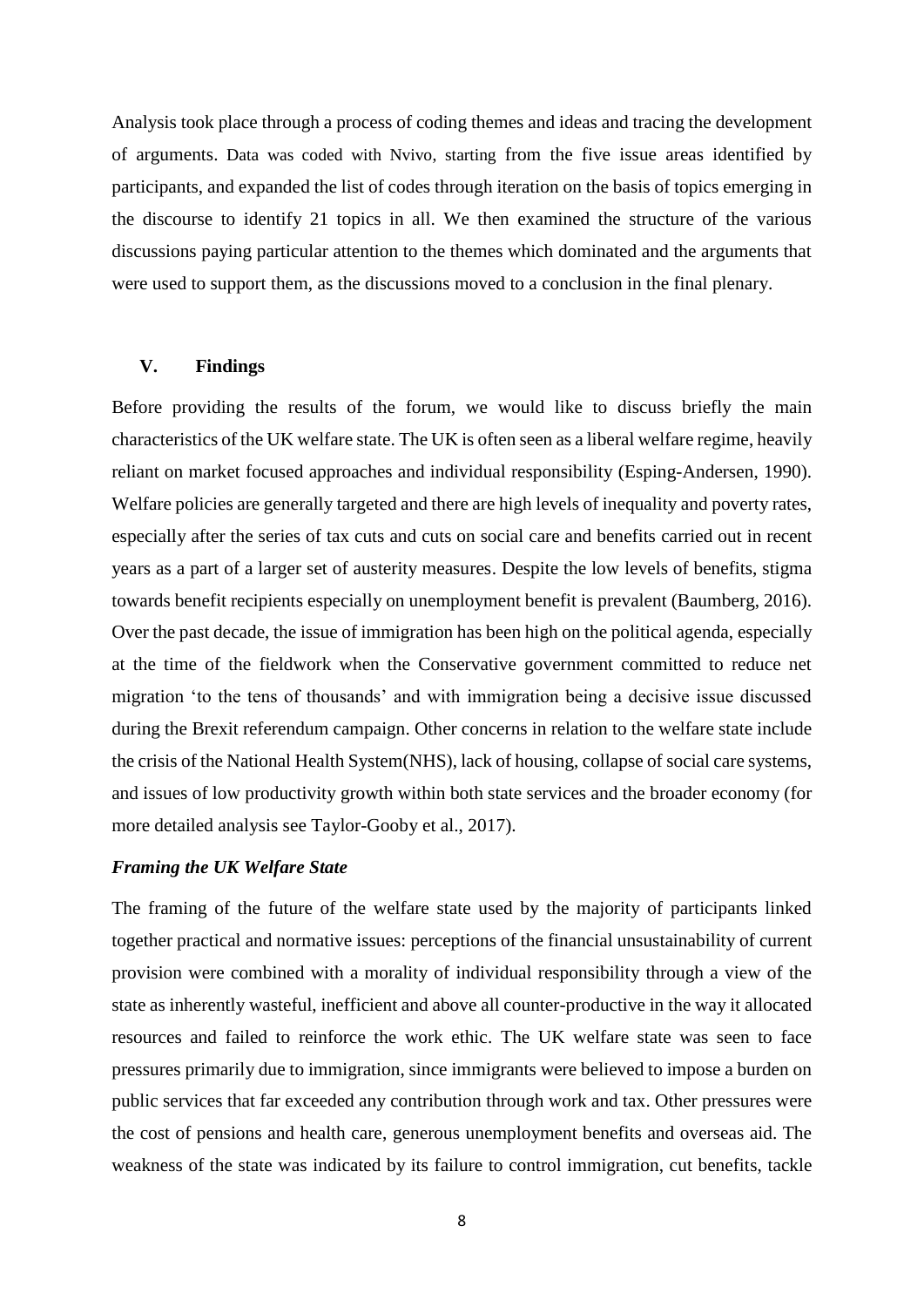Analysis took place through a process of coding themes and ideas and tracing the development of arguments. Data was coded with Nvivo, starting from the five issue areas identified by participants, and expanded the list of codes through iteration on the basis of topics emerging in the discourse to identify 21 topics in all. We then examined the structure of the various discussions paying particular attention to the themes which dominated and the arguments that were used to support them, as the discussions moved to a conclusion in the final plenary.

# **V. Findings**

Before providing the results of the forum, we would like to discuss briefly the main characteristics of the UK welfare state. The UK is often seen as a liberal welfare regime, heavily reliant on market focused approaches and individual responsibility (Esping-Andersen, 1990). Welfare policies are generally targeted and there are high levels of inequality and poverty rates, especially after the series of tax cuts and cuts on social care and benefits carried out in recent years as a part of a larger set of austerity measures. Despite the low levels of benefits, stigma towards benefit recipients especially on unemployment benefit is prevalent (Baumberg, 2016). Over the past decade, the issue of immigration has been high on the political agenda, especially at the time of the fieldwork when the Conservative government committed to reduce net migration 'to the tens of thousands' and with immigration being a decisive issue discussed during the Brexit referendum campaign. Other concerns in relation to the welfare state include the crisis of the National Health System(NHS), lack of housing, collapse of social care systems, and issues of low productivity growth within both state services and the broader economy (for more detailed analysis see Taylor-Gooby et al., 2017).

#### *Framing the UK Welfare State*

The framing of the future of the welfare state used by the majority of participants linked together practical and normative issues: perceptions of the financial unsustainability of current provision were combined with a morality of individual responsibility through a view of the state as inherently wasteful, inefficient and above all counter-productive in the way it allocated resources and failed to reinforce the work ethic. The UK welfare state was seen to face pressures primarily due to immigration, since immigrants were believed to impose a burden on public services that far exceeded any contribution through work and tax. Other pressures were the cost of pensions and health care, generous unemployment benefits and overseas aid. The weakness of the state was indicated by its failure to control immigration, cut benefits, tackle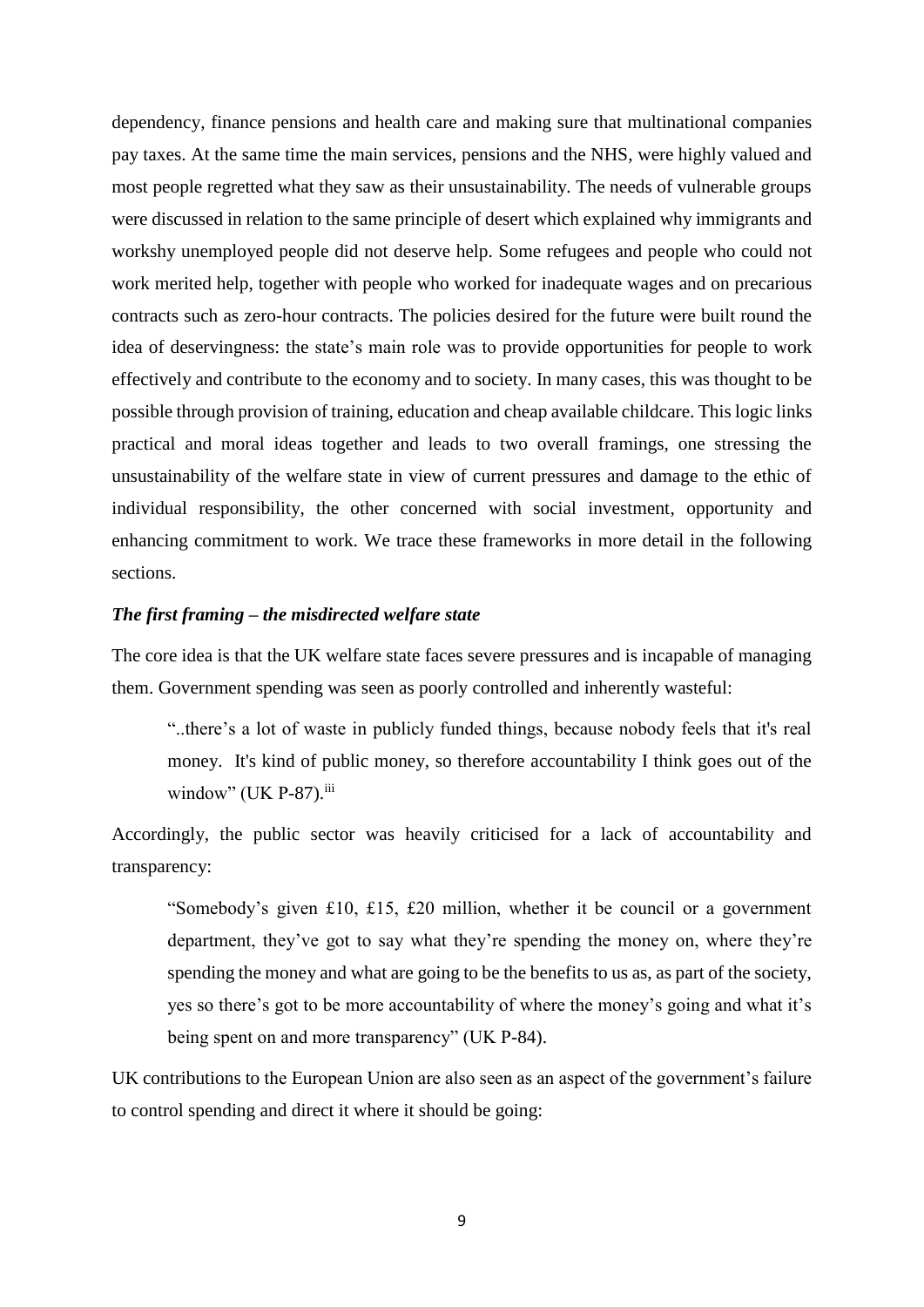dependency, finance pensions and health care and making sure that multinational companies pay taxes. At the same time the main services, pensions and the NHS, were highly valued and most people regretted what they saw as their unsustainability. The needs of vulnerable groups were discussed in relation to the same principle of desert which explained why immigrants and workshy unemployed people did not deserve help. Some refugees and people who could not work merited help, together with people who worked for inadequate wages and on precarious contracts such as zero-hour contracts. The policies desired for the future were built round the idea of deservingness: the state's main role was to provide opportunities for people to work effectively and contribute to the economy and to society. In many cases, this was thought to be possible through provision of training, education and cheap available childcare. This logic links practical and moral ideas together and leads to two overall framings, one stressing the unsustainability of the welfare state in view of current pressures and damage to the ethic of individual responsibility, the other concerned with social investment, opportunity and enhancing commitment to work. We trace these frameworks in more detail in the following sections.

# *The first framing – the misdirected welfare state*

The core idea is that the UK welfare state faces severe pressures and is incapable of managing them. Government spending was seen as poorly controlled and inherently wasteful:

"..there's a lot of waste in publicly funded things, because nobody feels that it's real money. It's kind of public money, so therefore accountability I think goes out of the window" (UK P-87).<sup>iii</sup>

Accordingly, the public sector was heavily criticised for a lack of accountability and transparency:

"Somebody's given £10, £15, £20 million, whether it be council or a government department, they've got to say what they're spending the money on, where they're spending the money and what are going to be the benefits to us as, as part of the society, yes so there's got to be more accountability of where the money's going and what it's being spent on and more transparency" (UK P-84).

UK contributions to the European Union are also seen as an aspect of the government's failure to control spending and direct it where it should be going: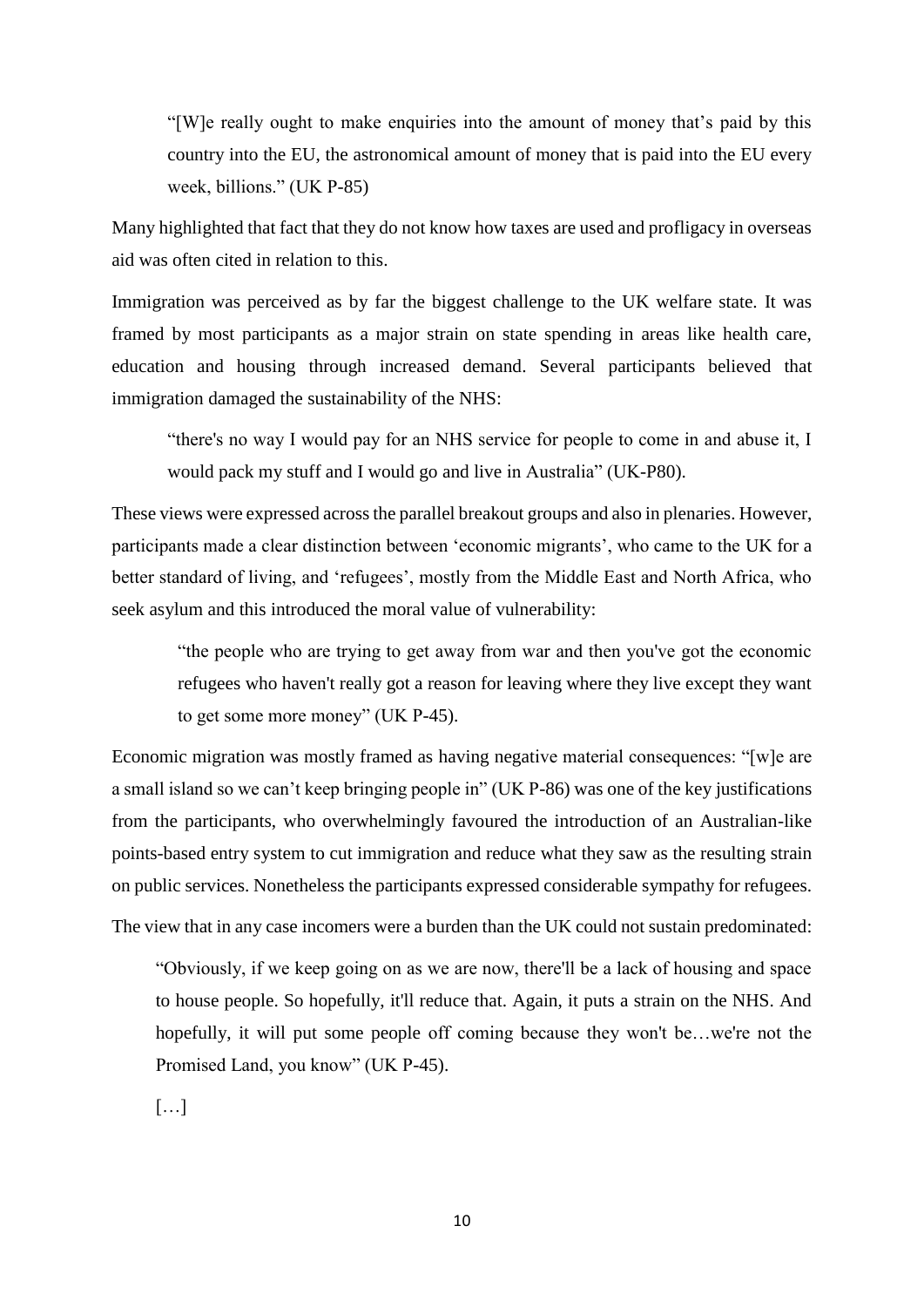"[W]e really ought to make enquiries into the amount of money that's paid by this country into the EU, the astronomical amount of money that is paid into the EU every week, billions." (UK P-85)

Many highlighted that fact that they do not know how taxes are used and profligacy in overseas aid was often cited in relation to this.

Immigration was perceived as by far the biggest challenge to the UK welfare state. It was framed by most participants as a major strain on state spending in areas like health care, education and housing through increased demand. Several participants believed that immigration damaged the sustainability of the NHS:

"there's no way I would pay for an NHS service for people to come in and abuse it, I would pack my stuff and I would go and live in Australia" (UK-P80).

These views were expressed across the parallel breakout groups and also in plenaries. However, participants made a clear distinction between 'economic migrants', who came to the UK for a better standard of living, and 'refugees', mostly from the Middle East and North Africa, who seek asylum and this introduced the moral value of vulnerability:

"the people who are trying to get away from war and then you've got the economic refugees who haven't really got a reason for leaving where they live except they want to get some more money" (UK P-45).

Economic migration was mostly framed as having negative material consequences: "[w]e are a small island so we can't keep bringing people in" (UK P-86) was one of the key justifications from the participants, who overwhelmingly favoured the introduction of an Australian-like points-based entry system to cut immigration and reduce what they saw as the resulting strain on public services. Nonetheless the participants expressed considerable sympathy for refugees.

The view that in any case incomers were a burden than the UK could not sustain predominated:

"Obviously, if we keep going on as we are now, there'll be a lack of housing and space to house people. So hopefully, it'll reduce that. Again, it puts a strain on the NHS. And hopefully, it will put some people off coming because they won't be…we're not the Promised Land, you know" (UK P-45).

[…]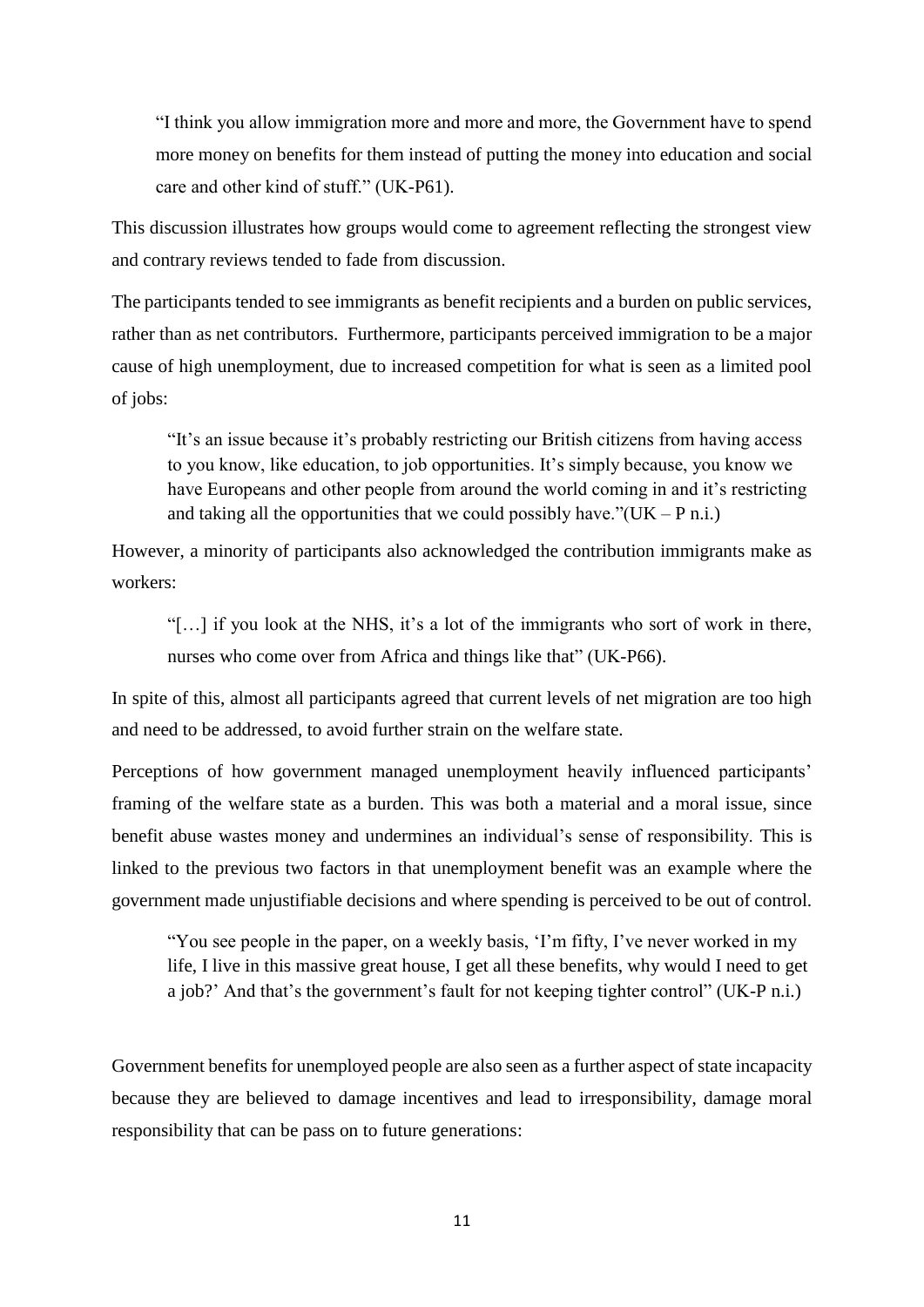"I think you allow immigration more and more and more, the Government have to spend more money on benefits for them instead of putting the money into education and social care and other kind of stuff." (UK-P61).

This discussion illustrates how groups would come to agreement reflecting the strongest view and contrary reviews tended to fade from discussion.

The participants tended to see immigrants as benefit recipients and a burden on public services, rather than as net contributors. Furthermore, participants perceived immigration to be a major cause of high unemployment, due to increased competition for what is seen as a limited pool of jobs:

"It's an issue because it's probably restricting our British citizens from having access to you know, like education, to job opportunities. It's simply because, you know we have Europeans and other people from around the world coming in and it's restricting and taking all the opportunities that we could possibly have." $(UK - P n.i.)$ 

However, a minority of participants also acknowledged the contribution immigrants make as workers:

"[…] if you look at the NHS, it's a lot of the immigrants who sort of work in there, nurses who come over from Africa and things like that" (UK-P66).

In spite of this, almost all participants agreed that current levels of net migration are too high and need to be addressed, to avoid further strain on the welfare state.

Perceptions of how government managed unemployment heavily influenced participants' framing of the welfare state as a burden. This was both a material and a moral issue, since benefit abuse wastes money and undermines an individual's sense of responsibility. This is linked to the previous two factors in that unemployment benefit was an example where the government made unjustifiable decisions and where spending is perceived to be out of control.

"You see people in the paper, on a weekly basis, 'I'm fifty, I've never worked in my life, I live in this massive great house, I get all these benefits, why would I need to get a job?' And that's the government's fault for not keeping tighter control" (UK-P n.i.)

Government benefits for unemployed people are also seen as a further aspect of state incapacity because they are believed to damage incentives and lead to irresponsibility, damage moral responsibility that can be pass on to future generations: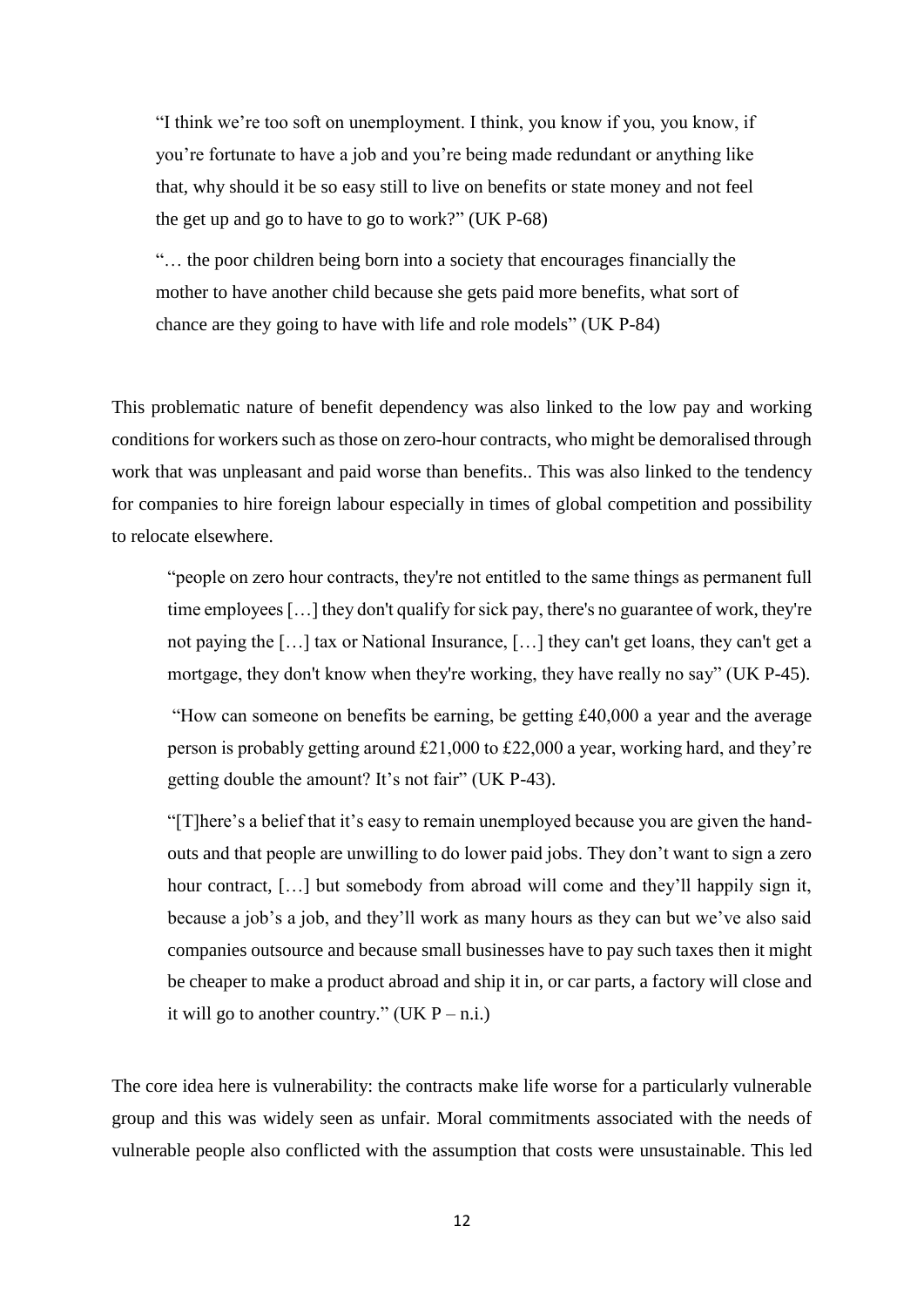"I think we're too soft on unemployment. I think, you know if you, you know, if you're fortunate to have a job and you're being made redundant or anything like that, why should it be so easy still to live on benefits or state money and not feel the get up and go to have to go to work?" (UK P-68)

"… the poor children being born into a society that encourages financially the mother to have another child because she gets paid more benefits, what sort of chance are they going to have with life and role models" (UK P-84)

This problematic nature of benefit dependency was also linked to the low pay and working conditions for workers such as those on zero-hour contracts, who might be demoralised through work that was unpleasant and paid worse than benefits.. This was also linked to the tendency for companies to hire foreign labour especially in times of global competition and possibility to relocate elsewhere.

"people on zero hour contracts, they're not entitled to the same things as permanent full time employees […] they don't qualify for sick pay, there's no guarantee of work, they're not paying the […] tax or National Insurance, […] they can't get loans, they can't get a mortgage, they don't know when they're working, they have really no say" (UK P-45).

"How can someone on benefits be earning, be getting £40,000 a year and the average person is probably getting around £21,000 to £22,000 a year, working hard, and they're getting double the amount? It's not fair" (UK P-43).

"[T]here's a belief that it's easy to remain unemployed because you are given the handouts and that people are unwilling to do lower paid jobs. They don't want to sign a zero hour contract, [...] but somebody from abroad will come and they'll happily sign it, because a job's a job, and they'll work as many hours as they can but we've also said companies outsource and because small businesses have to pay such taxes then it might be cheaper to make a product abroad and ship it in, or car parts, a factory will close and it will go to another country." (UK  $P - n.i$ .)

The core idea here is vulnerability: the contracts make life worse for a particularly vulnerable group and this was widely seen as unfair. Moral commitments associated with the needs of vulnerable people also conflicted with the assumption that costs were unsustainable. This led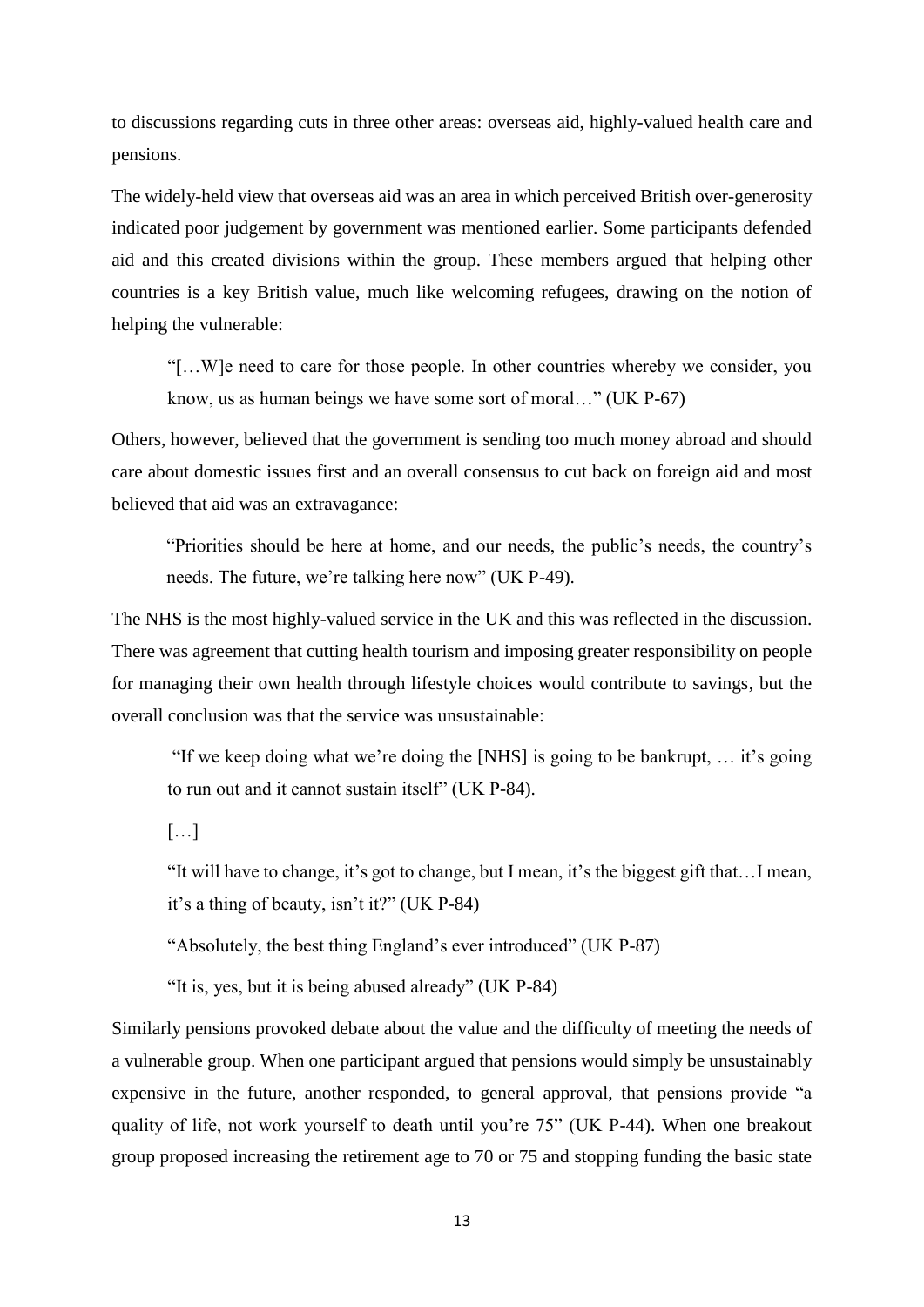to discussions regarding cuts in three other areas: overseas aid, highly-valued health care and pensions.

The widely-held view that overseas aid was an area in which perceived British over-generosity indicated poor judgement by government was mentioned earlier. Some participants defended aid and this created divisions within the group. These members argued that helping other countries is a key British value, much like welcoming refugees, drawing on the notion of helping the vulnerable:

"[…W]e need to care for those people. In other countries whereby we consider, you know, us as human beings we have some sort of moral…" (UK P-67)

Others, however, believed that the government is sending too much money abroad and should care about domestic issues first and an overall consensus to cut back on foreign aid and most believed that aid was an extravagance:

"Priorities should be here at home, and our needs, the public's needs, the country's needs. The future, we're talking here now" (UK P-49).

The NHS is the most highly-valued service in the UK and this was reflected in the discussion. There was agreement that cutting health tourism and imposing greater responsibility on people for managing their own health through lifestyle choices would contribute to savings, but the overall conclusion was that the service was unsustainable:

"If we keep doing what we're doing the [NHS] is going to be bankrupt, … it's going to run out and it cannot sustain itself" (UK P-84).

 $[\dots]$ 

"It will have to change, it's got to change, but I mean, it's the biggest gift that…I mean, it's a thing of beauty, isn't it?" (UK P-84)

"Absolutely, the best thing England's ever introduced" (UK P-87)

"It is, yes, but it is being abused already" (UK P-84)

Similarly pensions provoked debate about the value and the difficulty of meeting the needs of a vulnerable group. When one participant argued that pensions would simply be unsustainably expensive in the future, another responded, to general approval, that pensions provide "a quality of life, not work yourself to death until you're 75" (UK P-44). When one breakout group proposed increasing the retirement age to 70 or 75 and stopping funding the basic state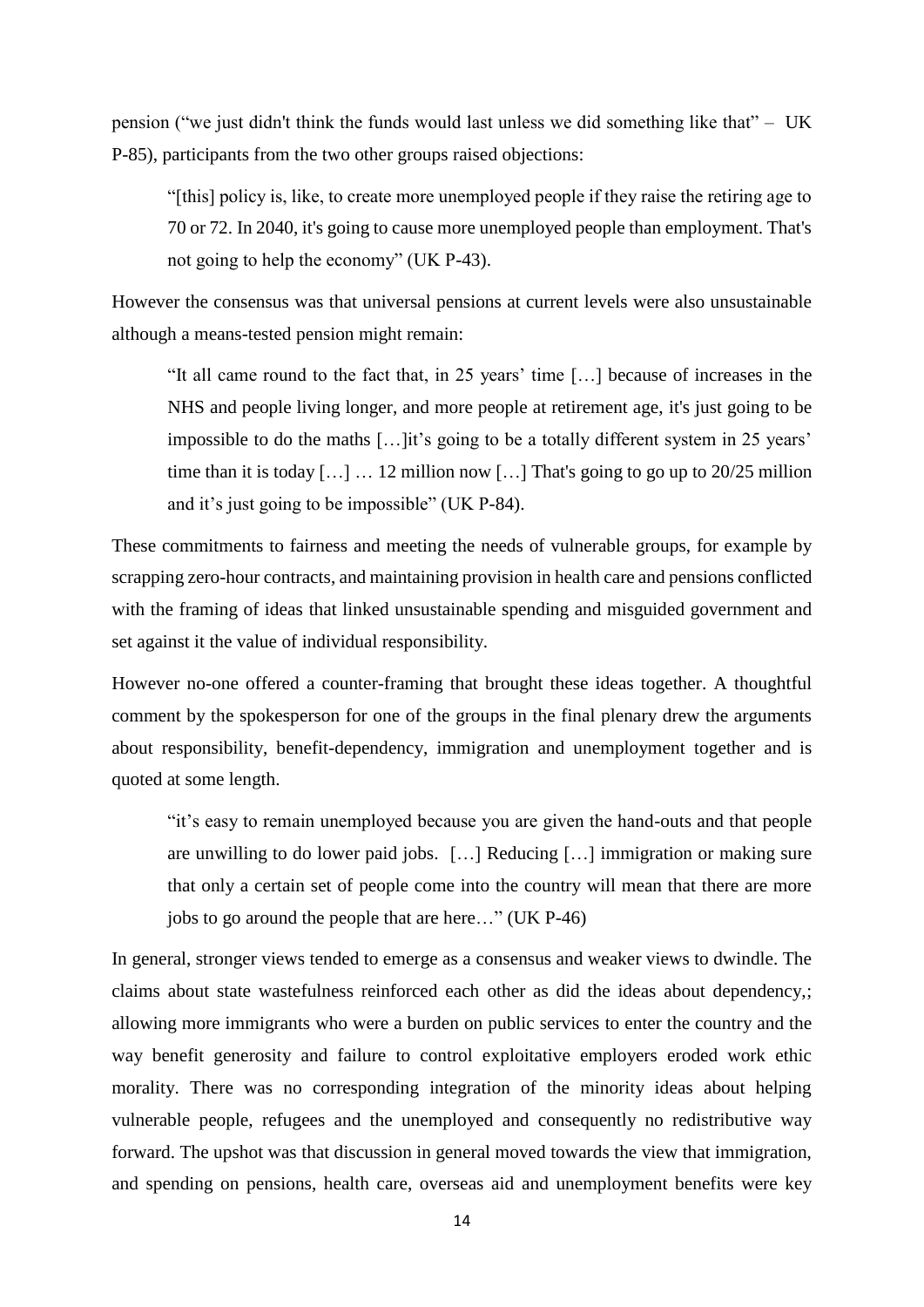pension ("we just didn't think the funds would last unless we did something like that" – UK P-85), participants from the two other groups raised objections:

"[this] policy is, like, to create more unemployed people if they raise the retiring age to 70 or 72. In 2040, it's going to cause more unemployed people than employment. That's not going to help the economy" (UK P-43).

However the consensus was that universal pensions at current levels were also unsustainable although a means-tested pension might remain:

"It all came round to the fact that, in 25 years' time […] because of increases in the NHS and people living longer, and more people at retirement age, it's just going to be impossible to do the maths […]it's going to be a totally different system in 25 years' time than it is today  $[\dots]$   $\dots$  12 million now  $[\dots]$  That's going to go up to 20/25 million and it's just going to be impossible" (UK P-84).

These commitments to fairness and meeting the needs of vulnerable groups, for example by scrapping zero-hour contracts, and maintaining provision in health care and pensions conflicted with the framing of ideas that linked unsustainable spending and misguided government and set against it the value of individual responsibility.

However no-one offered a counter-framing that brought these ideas together. A thoughtful comment by the spokesperson for one of the groups in the final plenary drew the arguments about responsibility, benefit-dependency, immigration and unemployment together and is quoted at some length.

"it's easy to remain unemployed because you are given the hand-outs and that people are unwilling to do lower paid jobs. […] Reducing […] immigration or making sure that only a certain set of people come into the country will mean that there are more jobs to go around the people that are here…" (UK P-46)

In general, stronger views tended to emerge as a consensus and weaker views to dwindle. The claims about state wastefulness reinforced each other as did the ideas about dependency,; allowing more immigrants who were a burden on public services to enter the country and the way benefit generosity and failure to control exploitative employers eroded work ethic morality. There was no corresponding integration of the minority ideas about helping vulnerable people, refugees and the unemployed and consequently no redistributive way forward. The upshot was that discussion in general moved towards the view that immigration, and spending on pensions, health care, overseas aid and unemployment benefits were key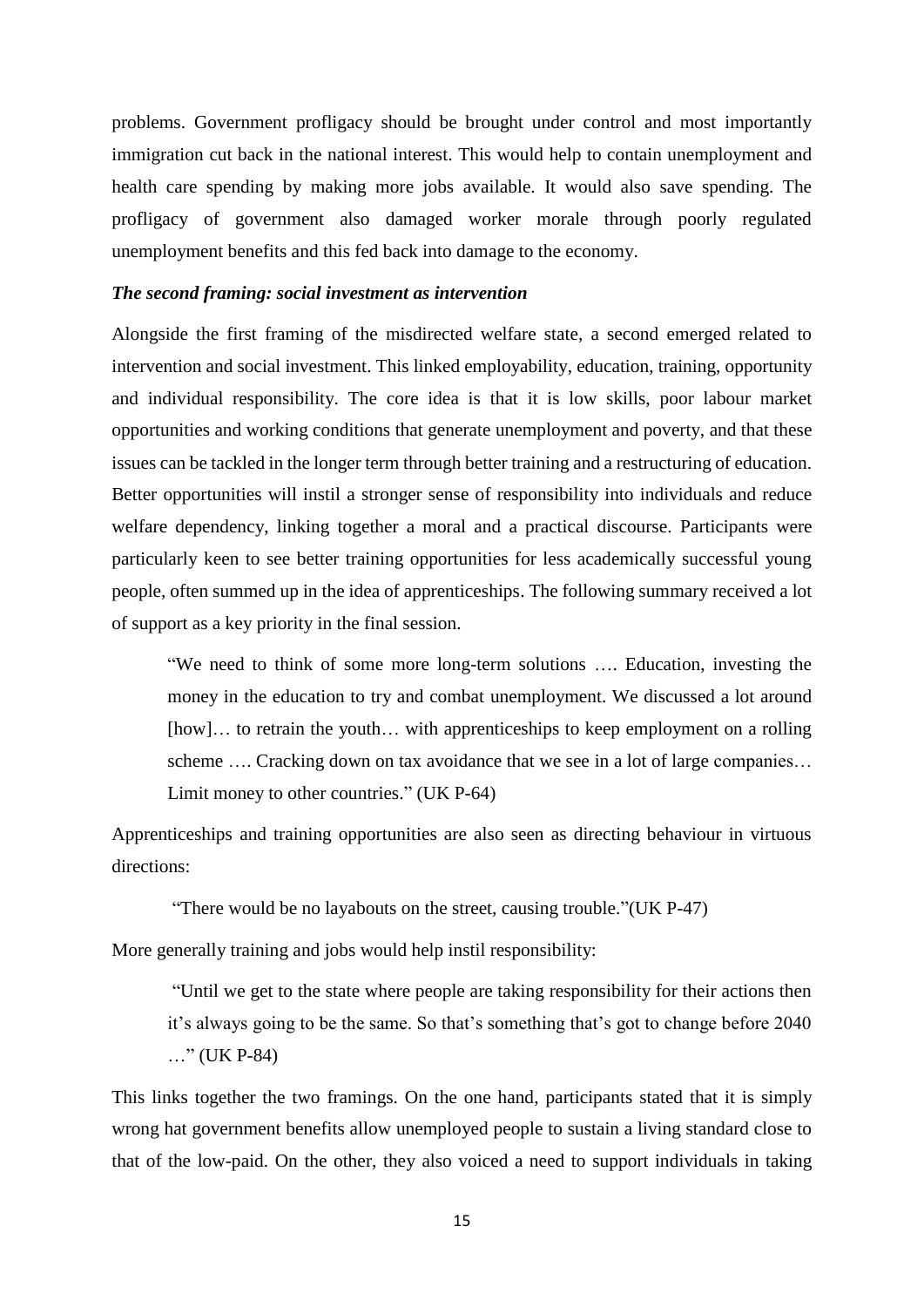problems. Government profligacy should be brought under control and most importantly immigration cut back in the national interest. This would help to contain unemployment and health care spending by making more jobs available. It would also save spending. The profligacy of government also damaged worker morale through poorly regulated unemployment benefits and this fed back into damage to the economy.

### *The second framing: social investment as intervention*

Alongside the first framing of the misdirected welfare state, a second emerged related to intervention and social investment. This linked employability, education, training, opportunity and individual responsibility. The core idea is that it is low skills, poor labour market opportunities and working conditions that generate unemployment and poverty, and that these issues can be tackled in the longer term through better training and a restructuring of education. Better opportunities will instil a stronger sense of responsibility into individuals and reduce welfare dependency, linking together a moral and a practical discourse. Participants were particularly keen to see better training opportunities for less academically successful young people, often summed up in the idea of apprenticeships. The following summary received a lot of support as a key priority in the final session.

"We need to think of some more long-term solutions …. Education, investing the money in the education to try and combat unemployment. We discussed a lot around [how]... to retrain the youth... with apprenticeships to keep employment on a rolling scheme .... Cracking down on tax avoidance that we see in a lot of large companies... Limit money to other countries." (UK P-64)

Apprenticeships and training opportunities are also seen as directing behaviour in virtuous directions:

"There would be no layabouts on the street, causing trouble."(UK P-47)

More generally training and jobs would help instil responsibility:

"Until we get to the state where people are taking responsibility for their actions then it's always going to be the same. So that's something that's got to change before 2040 …" (UK P-84)

This links together the two framings. On the one hand, participants stated that it is simply wrong hat government benefits allow unemployed people to sustain a living standard close to that of the low-paid. On the other, they also voiced a need to support individuals in taking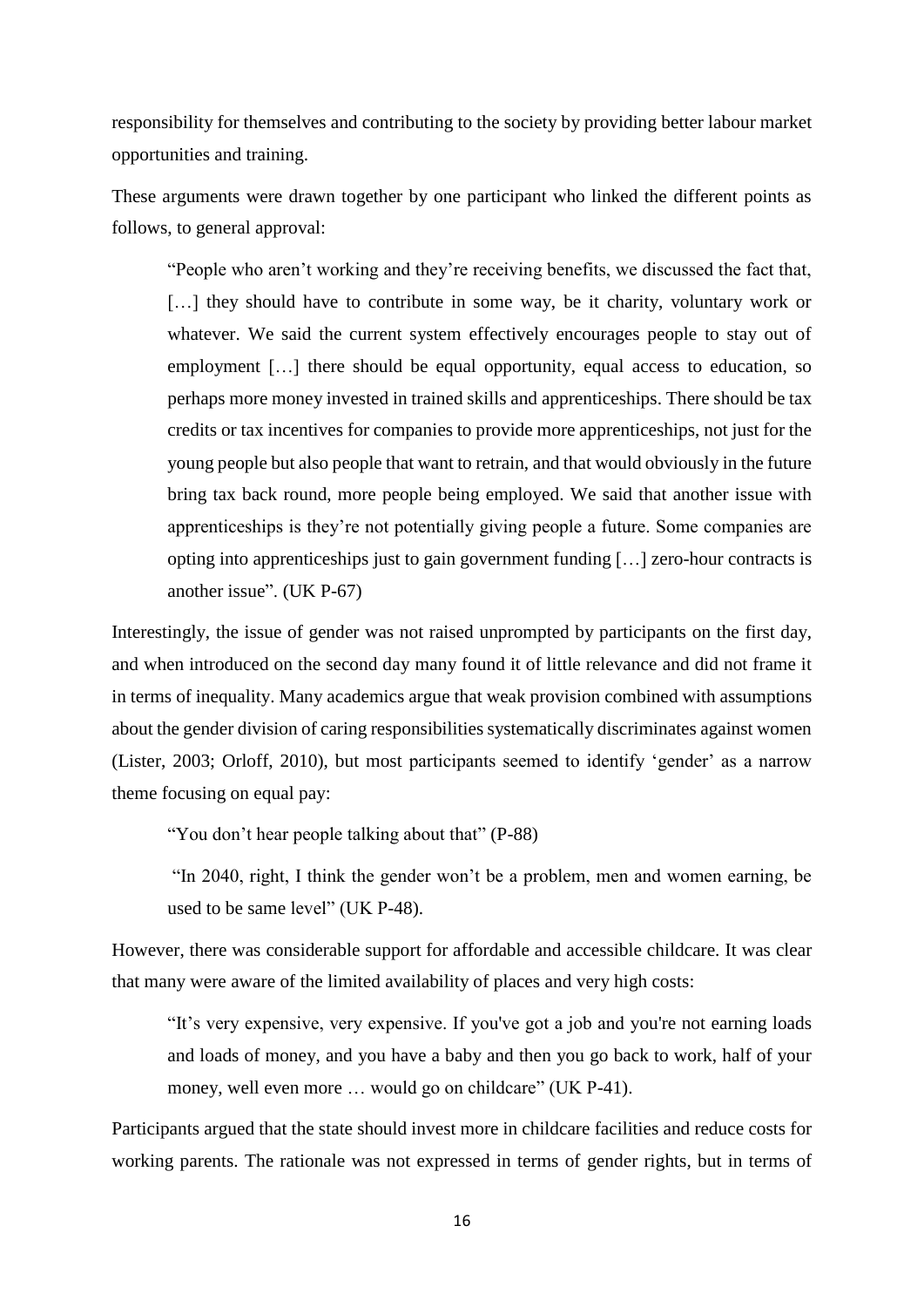responsibility for themselves and contributing to the society by providing better labour market opportunities and training.

These arguments were drawn together by one participant who linked the different points as follows, to general approval:

"People who aren't working and they're receiving benefits, we discussed the fact that, [...] they should have to contribute in some way, be it charity, voluntary work or whatever. We said the current system effectively encourages people to stay out of employment […] there should be equal opportunity, equal access to education, so perhaps more money invested in trained skills and apprenticeships. There should be tax credits or tax incentives for companies to provide more apprenticeships, not just for the young people but also people that want to retrain, and that would obviously in the future bring tax back round, more people being employed. We said that another issue with apprenticeships is they're not potentially giving people a future. Some companies are opting into apprenticeships just to gain government funding […] zero-hour contracts is another issue". (UK P-67)

Interestingly, the issue of gender was not raised unprompted by participants on the first day, and when introduced on the second day many found it of little relevance and did not frame it in terms of inequality. Many academics argue that weak provision combined with assumptions about the gender division of caring responsibilities systematically discriminates against women (Lister, 2003; Orloff, 2010), but most participants seemed to identify 'gender' as a narrow theme focusing on equal pay:

"You don't hear people talking about that" (P-88)

"In 2040, right, I think the gender won't be a problem, men and women earning, be used to be same level" (UK P-48).

However, there was considerable support for affordable and accessible childcare. It was clear that many were aware of the limited availability of places and very high costs:

"It's very expensive, very expensive. If you've got a job and you're not earning loads and loads of money, and you have a baby and then you go back to work, half of your money, well even more ... would go on childcare" (UK P-41).

Participants argued that the state should invest more in childcare facilities and reduce costs for working parents. The rationale was not expressed in terms of gender rights, but in terms of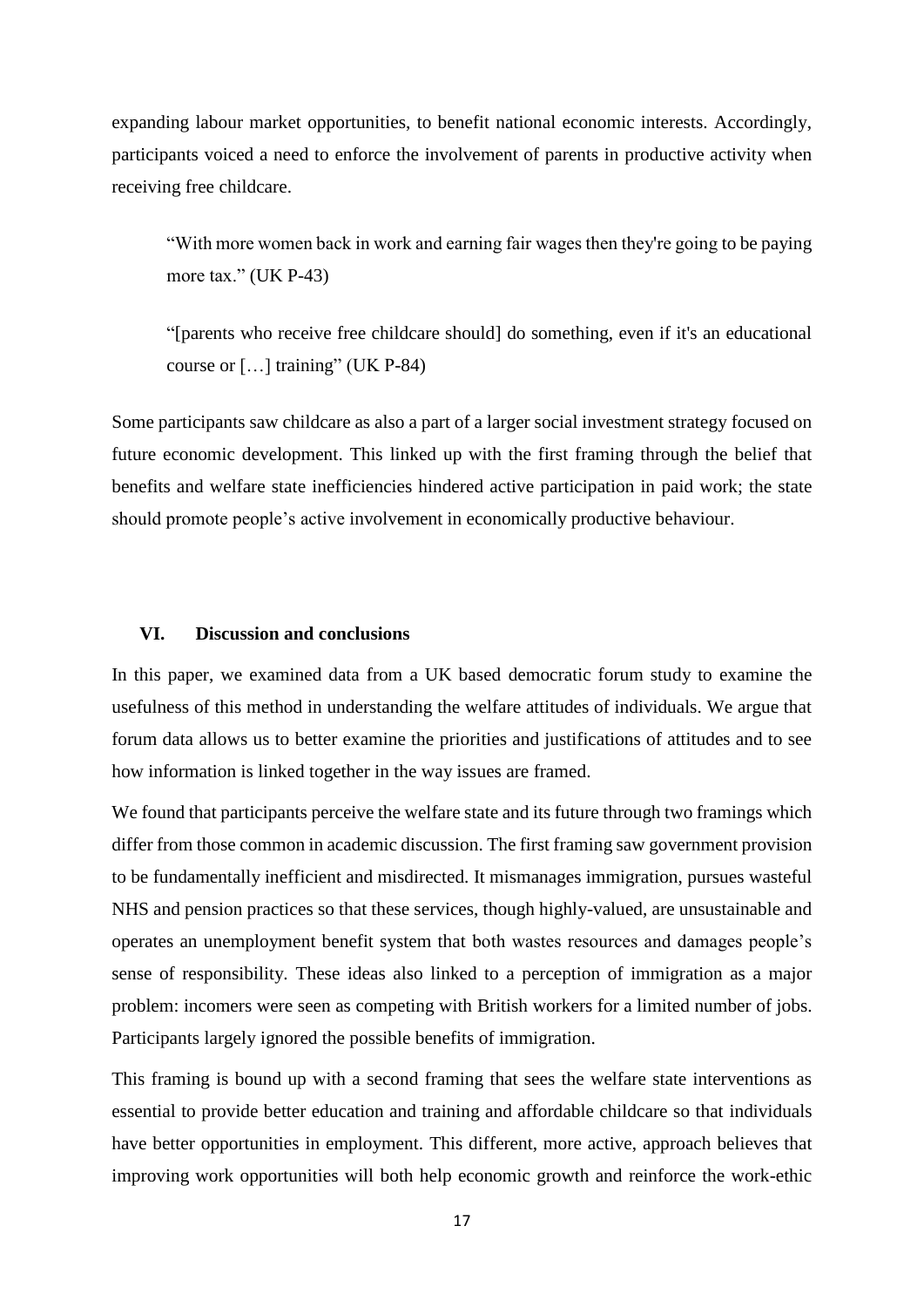expanding labour market opportunities, to benefit national economic interests. Accordingly, participants voiced a need to enforce the involvement of parents in productive activity when receiving free childcare.

"With more women back in work and earning fair wages then they're going to be paying more tax." (UK P-43)

"[parents who receive free childcare should] do something, even if it's an educational course or […] training" (UK P-84)

Some participants saw childcare as also a part of a larger social investment strategy focused on future economic development. This linked up with the first framing through the belief that benefits and welfare state inefficiencies hindered active participation in paid work; the state should promote people's active involvement in economically productive behaviour.

#### **VI. Discussion and conclusions**

In this paper, we examined data from a UK based democratic forum study to examine the usefulness of this method in understanding the welfare attitudes of individuals. We argue that forum data allows us to better examine the priorities and justifications of attitudes and to see how information is linked together in the way issues are framed.

We found that participants perceive the welfare state and its future through two framings which differ from those common in academic discussion. The first framing saw government provision to be fundamentally inefficient and misdirected. It mismanages immigration, pursues wasteful NHS and pension practices so that these services, though highly-valued, are unsustainable and operates an unemployment benefit system that both wastes resources and damages people's sense of responsibility. These ideas also linked to a perception of immigration as a major problem: incomers were seen as competing with British workers for a limited number of jobs. Participants largely ignored the possible benefits of immigration.

This framing is bound up with a second framing that sees the welfare state interventions as essential to provide better education and training and affordable childcare so that individuals have better opportunities in employment. This different, more active, approach believes that improving work opportunities will both help economic growth and reinforce the work-ethic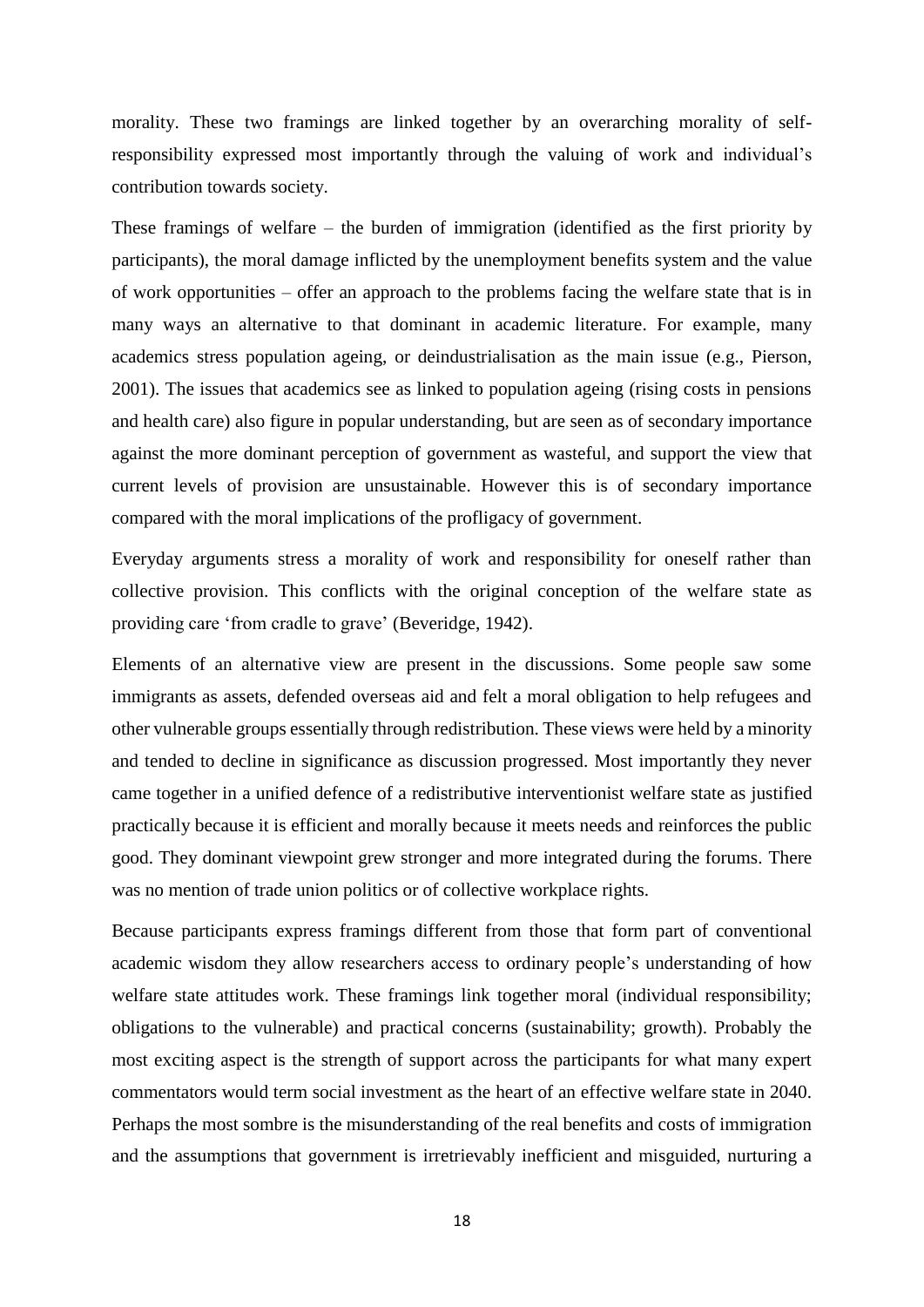morality. These two framings are linked together by an overarching morality of selfresponsibility expressed most importantly through the valuing of work and individual's contribution towards society.

These framings of welfare – the burden of immigration (identified as the first priority by participants), the moral damage inflicted by the unemployment benefits system and the value of work opportunities – offer an approach to the problems facing the welfare state that is in many ways an alternative to that dominant in academic literature. For example, many academics stress population ageing, or deindustrialisation as the main issue (e.g., Pierson, 2001). The issues that academics see as linked to population ageing (rising costs in pensions and health care) also figure in popular understanding, but are seen as of secondary importance against the more dominant perception of government as wasteful, and support the view that current levels of provision are unsustainable. However this is of secondary importance compared with the moral implications of the profligacy of government.

Everyday arguments stress a morality of work and responsibility for oneself rather than collective provision. This conflicts with the original conception of the welfare state as providing care 'from cradle to grave' (Beveridge, 1942).

Elements of an alternative view are present in the discussions. Some people saw some immigrants as assets, defended overseas aid and felt a moral obligation to help refugees and other vulnerable groups essentially through redistribution. These views were held by a minority and tended to decline in significance as discussion progressed. Most importantly they never came together in a unified defence of a redistributive interventionist welfare state as justified practically because it is efficient and morally because it meets needs and reinforces the public good. They dominant viewpoint grew stronger and more integrated during the forums. There was no mention of trade union politics or of collective workplace rights.

Because participants express framings different from those that form part of conventional academic wisdom they allow researchers access to ordinary people's understanding of how welfare state attitudes work. These framings link together moral (individual responsibility; obligations to the vulnerable) and practical concerns (sustainability; growth). Probably the most exciting aspect is the strength of support across the participants for what many expert commentators would term social investment as the heart of an effective welfare state in 2040. Perhaps the most sombre is the misunderstanding of the real benefits and costs of immigration and the assumptions that government is irretrievably inefficient and misguided, nurturing a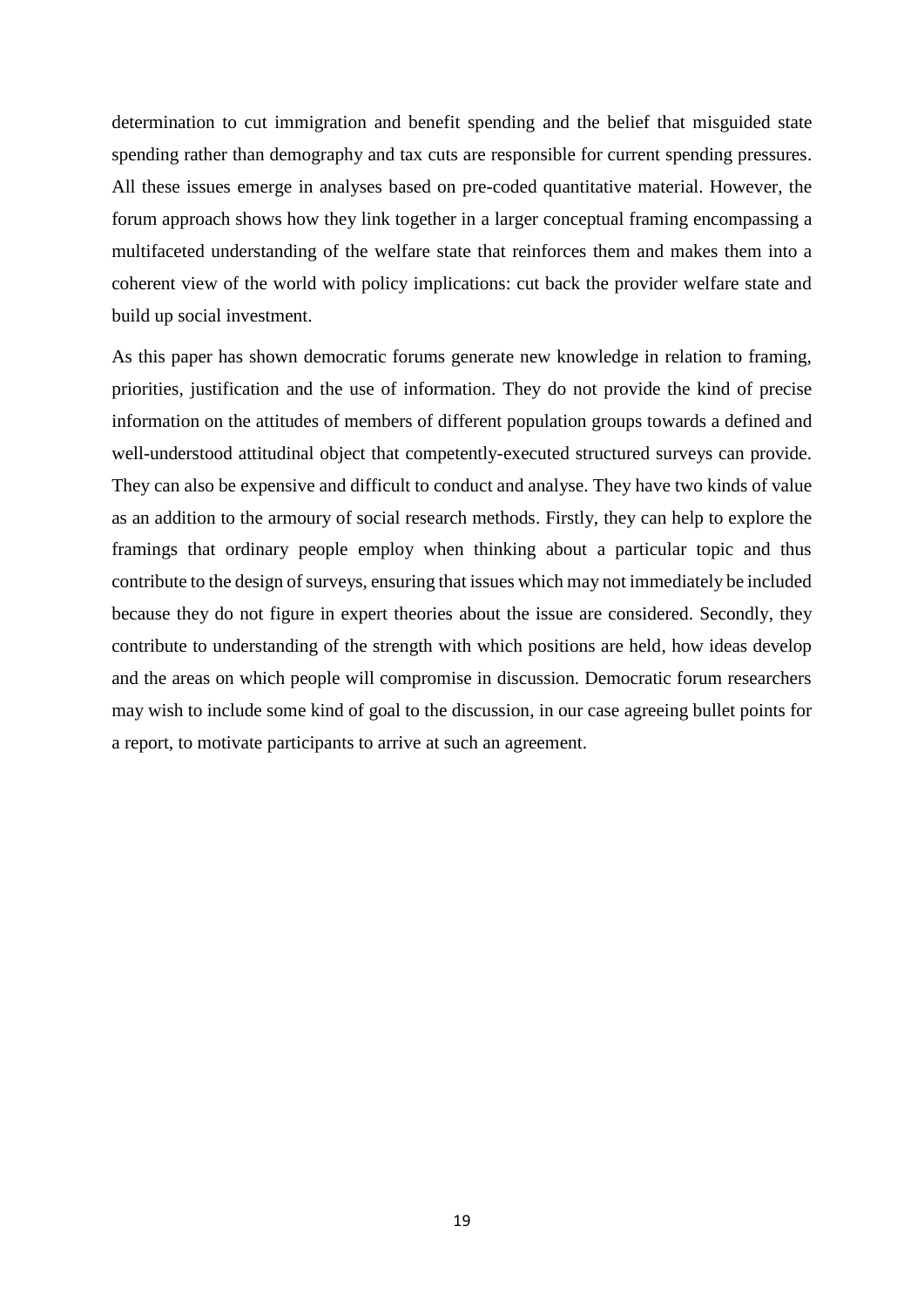determination to cut immigration and benefit spending and the belief that misguided state spending rather than demography and tax cuts are responsible for current spending pressures. All these issues emerge in analyses based on pre-coded quantitative material. However, the forum approach shows how they link together in a larger conceptual framing encompassing a multifaceted understanding of the welfare state that reinforces them and makes them into a coherent view of the world with policy implications: cut back the provider welfare state and build up social investment.

As this paper has shown democratic forums generate new knowledge in relation to framing, priorities, justification and the use of information. They do not provide the kind of precise information on the attitudes of members of different population groups towards a defined and well-understood attitudinal object that competently-executed structured surveys can provide. They can also be expensive and difficult to conduct and analyse. They have two kinds of value as an addition to the armoury of social research methods. Firstly, they can help to explore the framings that ordinary people employ when thinking about a particular topic and thus contribute to the design of surveys, ensuring that issues which may not immediately be included because they do not figure in expert theories about the issue are considered. Secondly, they contribute to understanding of the strength with which positions are held, how ideas develop and the areas on which people will compromise in discussion. Democratic forum researchers may wish to include some kind of goal to the discussion, in our case agreeing bullet points for a report, to motivate participants to arrive at such an agreement.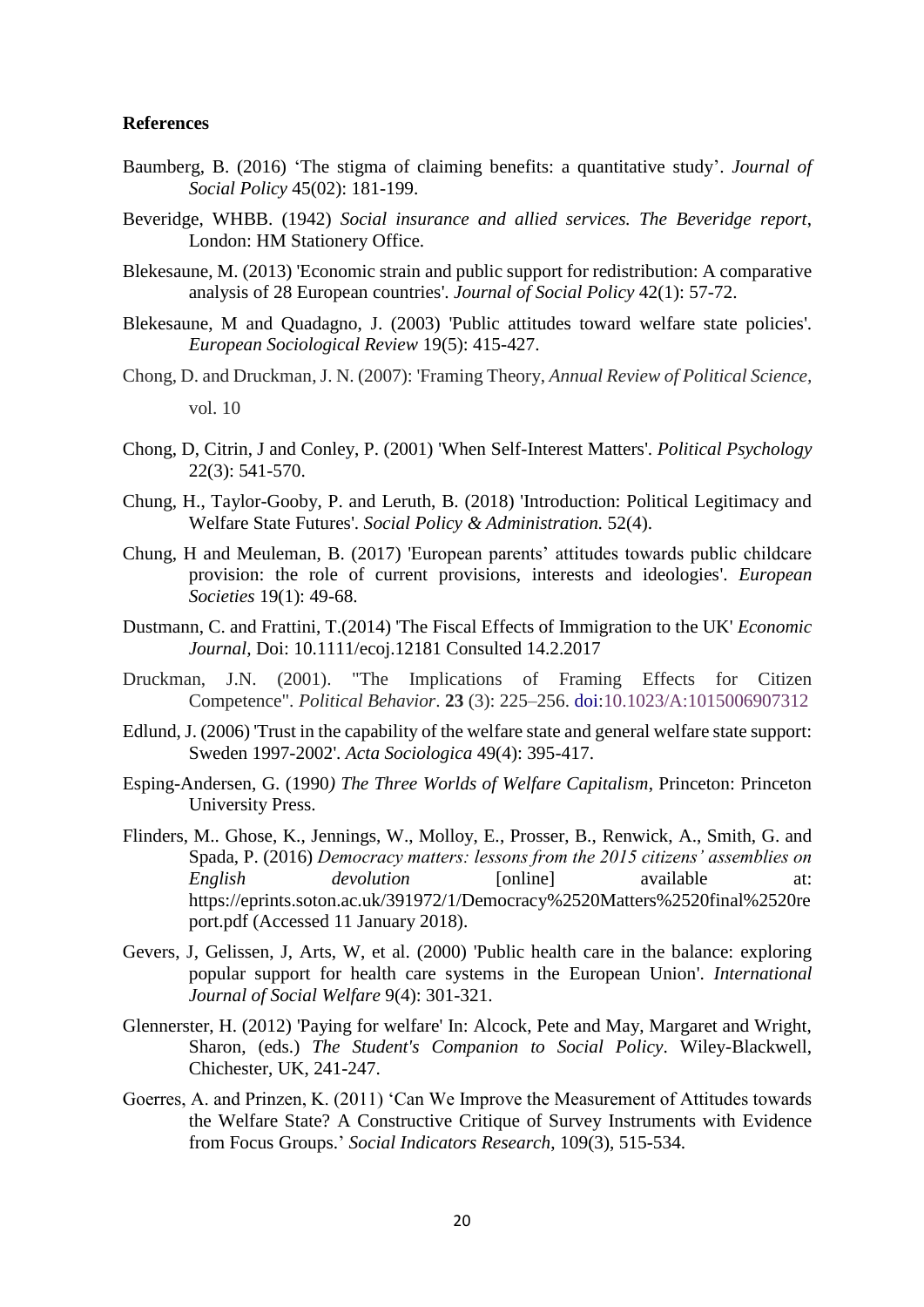### **References**

- Baumberg, B. (2016) 'The stigma of claiming benefits: a quantitative study'. *Journal of Social Policy* 45(02): 181-199.
- Beveridge, WHBB. (1942) *Social insurance and allied services. The Beveridge report*, London: HM Stationery Office.
- Blekesaune, M. (2013) 'Economic strain and public support for redistribution: A comparative analysis of 28 European countries'. *Journal of Social Policy* 42(1): 57-72.
- Blekesaune, M and Quadagno, J. (2003) 'Public attitudes toward welfare state policies'. *European Sociological Review* 19(5): 415-427.
- Chong, D. and Druckman, J. N. (2007): 'Framing Theory, *Annual Review of Political Science,*  vol. 10
- Chong, D, Citrin, J and Conley, P. (2001) 'When Self-Interest Matters'. *Political Psychology* 22(3): 541-570.
- Chung, H., Taylor-Gooby, P. and Leruth, B. (2018) 'Introduction: Political Legitimacy and Welfare State Futures'. *Social Policy & Administration.* 52(4).
- Chung, H and Meuleman, B. (2017) 'European parents' attitudes towards public childcare provision: the role of current provisions, interests and ideologies'. *European Societies* 19(1): 49-68.
- Dustmann, C. and Frattini, T.(2014) 'The Fiscal Effects of Immigration to the UK' *Economic Journal,* Doi: 10.1111/ecoj.12181 Consulted 14.2.2017
- Druckman, J.N. (2001). "The Implications of Framing Effects for Citizen Competence". *Political Behavior*. **23** (3): 225–256. [doi:](https://en.wikipedia.org/wiki/Digital_object_identifier)[10.1023/A:1015006907312](https://doi.org/10.1023%2FA%3A1015006907312)
- Edlund, J. (2006) 'Trust in the capability of the welfare state and general welfare state support: Sweden 1997-2002'. *Acta Sociologica* 49(4): 395-417.
- Esping-Andersen, G. (1990*) The Three Worlds of Welfare Capitalism*, Princeton: Princeton University Press.
- Flinders, M.. Ghose, K., Jennings, W., Molloy, E., Prosser, B., Renwick, A., Smith, G. and Spada, P. (2016) *Democracy matters: lessons from the 2015 citizens' assemblies on English devolution* [online] available at: https://eprints.soton.ac.uk/391972/1/Democracy%2520Matters%2520final%2520re port.pdf (Accessed 11 January 2018).
- Gevers, J, Gelissen, J, Arts, W, et al. (2000) 'Public health care in the balance: exploring popular support for health care systems in the European Union'. *International Journal of Social Welfare* 9(4): 301-321.
- Glennerster, H. (2012) 'Paying for welfare' In: Alcock, Pete and May, Margaret and Wright, Sharon, (eds.) *The Student's Companion to Social Policy*. Wiley-Blackwell, Chichester, UK, 241-247.
- Goerres, A. and Prinzen, K. (2011) 'Can We Improve the Measurement of Attitudes towards the Welfare State? A Constructive Critique of Survey Instruments with Evidence from Focus Groups.' *Social Indicators Research*, 109(3), 515-534.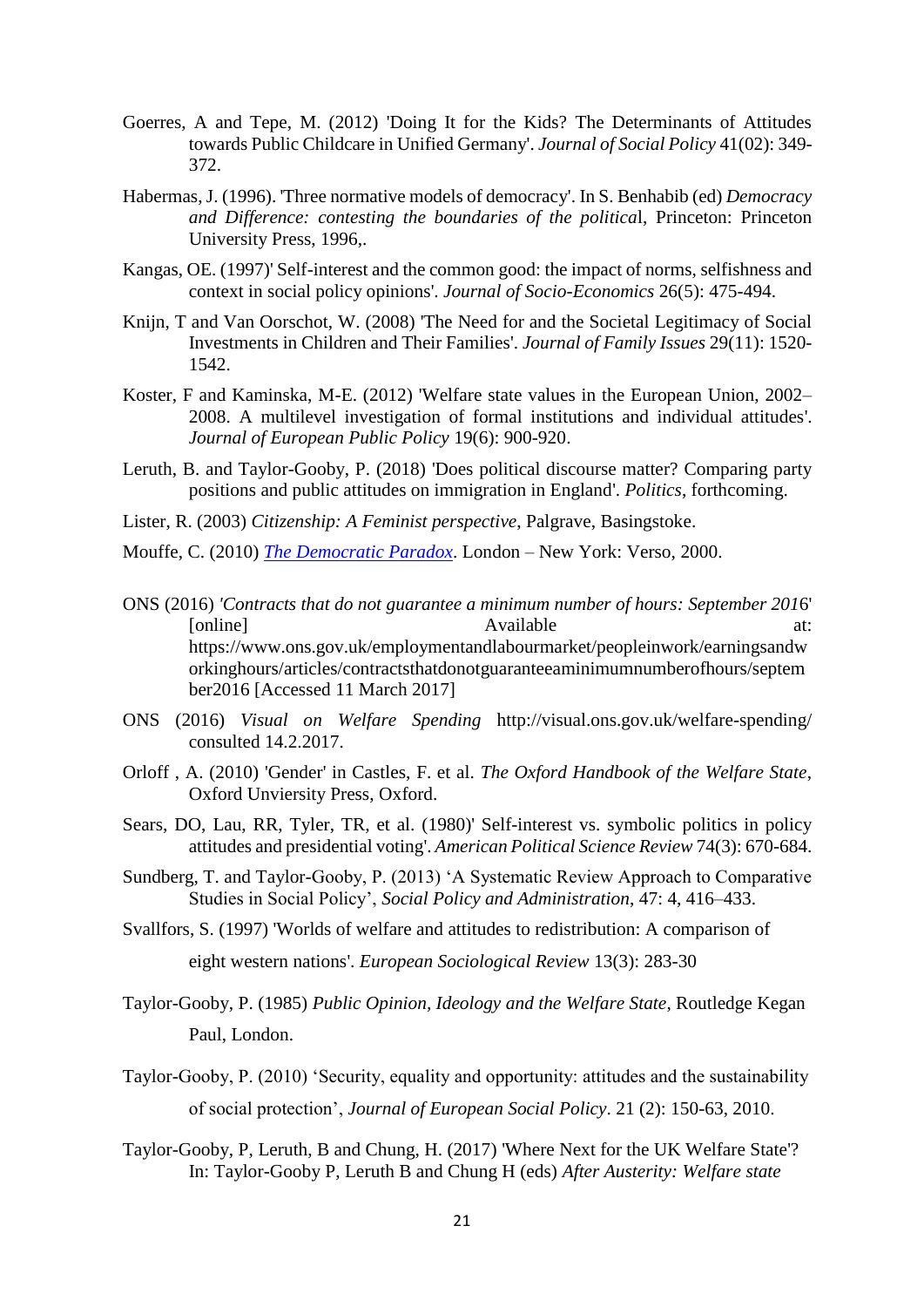- Goerres, A and Tepe, M. (2012) 'Doing It for the Kids? The Determinants of Attitudes towards Public Childcare in Unified Germany'. *Journal of Social Policy* 41(02): 349- 372.
- Habermas, J. (1996). 'Three normative models of democracy'. In S. Benhabib (ed) *Democracy and Difference: contesting the boundaries of the politica*l, Princeton: Princeton University Press, 1996,.
- Kangas, OE. (1997)' Self-interest and the common good: the impact of norms, selfishness and context in social policy opinions'. *Journal of Socio-Economics* 26(5): 475-494.
- Knijn, T and Van Oorschot, W. (2008) 'The Need for and the Societal Legitimacy of Social Investments in Children and Their Families'. *Journal of Family Issues* 29(11): 1520- 1542.
- Koster, F and Kaminska, M-E. (2012) 'Welfare state values in the European Union, 2002– 2008. A multilevel investigation of formal institutions and individual attitudes'. *Journal of European Public Policy* 19(6): 900-920.
- Leruth, B. and Taylor-Gooby, P. (2018) 'Does political discourse matter? Comparing party positions and public attitudes on immigration in England'. *Politics*, forthcoming.
- Lister, R. (2003) *Citizenship: A Feminist perspective*, Palgrave, Basingstoke.

Mouffe, C. (2010) *[The Democratic Paradox](http://en.wikipedia.org/wiki/The_Democratic_Paradox)*. London – New York: Verso, 2000.

- ONS (2016) *'Contracts that do not guarantee a minimum number of hours: September 201*6' [online] Available at: https://www.ons.gov.uk/employmentandlabourmarket/peopleinwork/earningsandw orkinghours/articles/contractsthatdonotguaranteeaminimumnumberofhours/septem ber2016 [Accessed 11 March 2017]
- ONS (2016) *Visual on Welfare Spending* http://visual.ons.gov.uk/welfare-spending/ consulted 14.2.2017.
- Orloff , A. (2010) 'Gender' in Castles, F. et al. *The Oxford Handbook of the Welfare State*, Oxford Unviersity Press, Oxford.
- Sears, DO, Lau, RR, Tyler, TR, et al. (1980)' Self-interest vs. symbolic politics in policy attitudes and presidential voting'. *American Political Science Review* 74(3): 670-684.
- Sundberg, T. and Taylor-Gooby, P. (2013) 'A Systematic Review Approach to Comparative Studies in Social Policy', *Social Policy and Administration*, 47: 4, 416–433.
- Svallfors, S. (1997) 'Worlds of welfare and attitudes to redistribution: A comparison of eight western nations'. *European Sociological Review* 13(3): 283-30
- Taylor-Gooby, P. (1985) *Public Opinion, Ideology and the Welfare State*, Routledge Kegan Paul, London.
- Taylor-Gooby, P. (2010) 'Security, equality and opportunity: attitudes and the sustainability of social protection', *Journal of European Social Policy*. 21 (2): 150-63, 2010.
- Taylor-Gooby, P, Leruth, B and Chung, H. (2017) 'Where Next for the UK Welfare State'? In: Taylor-Gooby P, Leruth B and Chung H (eds) *After Austerity: Welfare state*